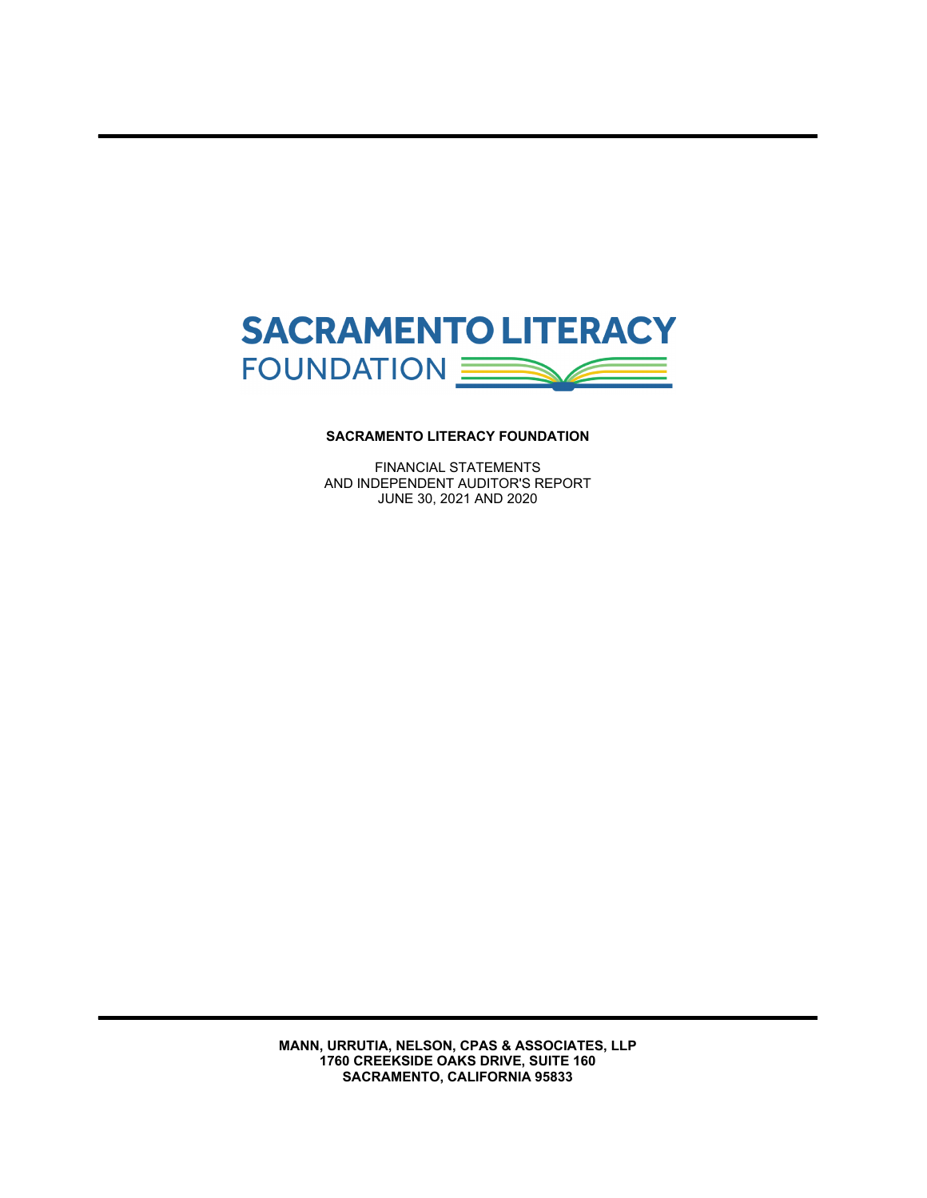

FINANCIAL STATEMENTS AND INDEPENDENT AUDITOR'S REPORT JUNE 30, 2021 AND 2020

**MANN, URRUTIA, NELSON, CPAS & ASSOCIATES, LLP 1760 CREEKSIDE OAKS DRIVE, SUITE 160 SACRAMENTO, CALIFORNIA 95833**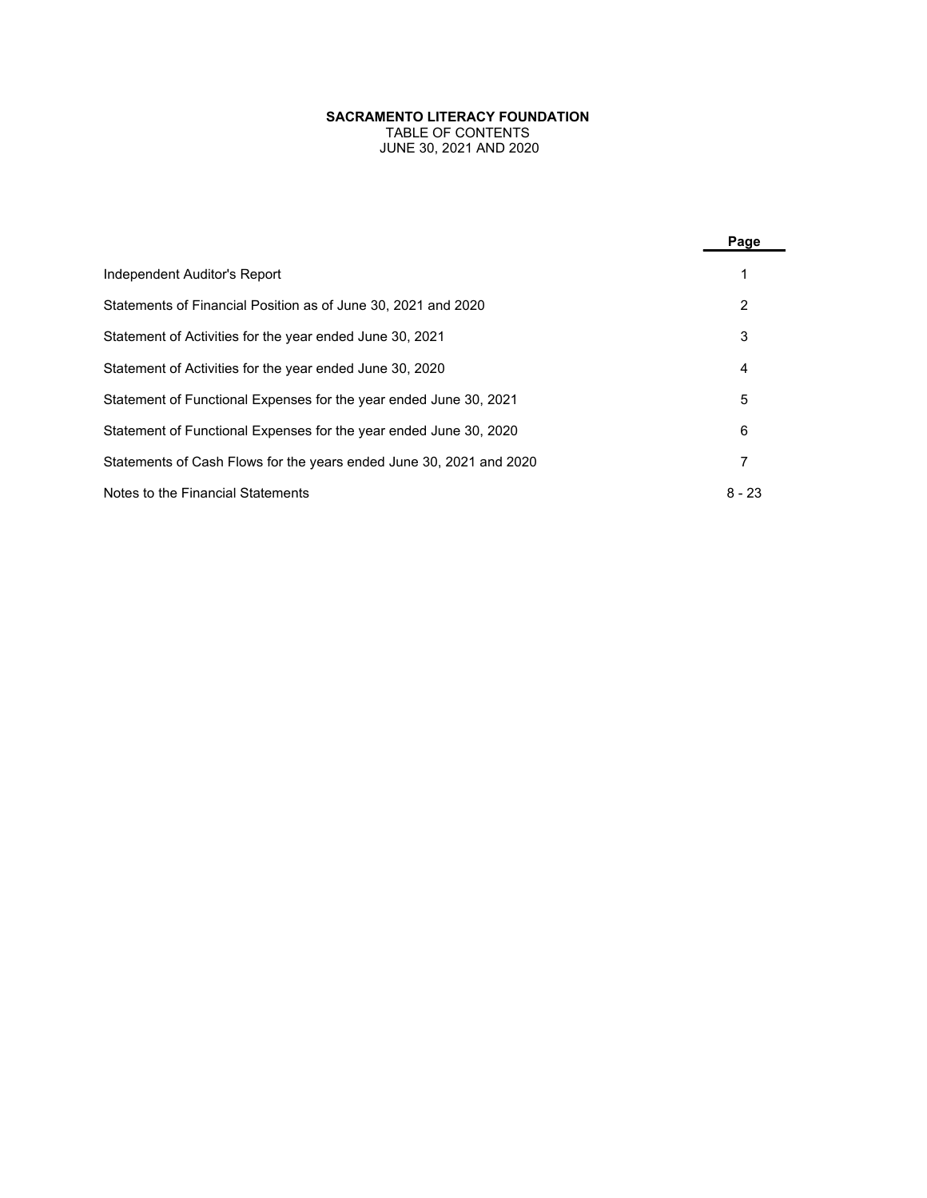TABLE OF CONTENTS JUNE 30, 2021 AND 2020

|                                                                     | Page     |
|---------------------------------------------------------------------|----------|
| Independent Auditor's Report                                        |          |
| Statements of Financial Position as of June 30, 2021 and 2020       | 2        |
| Statement of Activities for the year ended June 30, 2021            | 3        |
| Statement of Activities for the year ended June 30, 2020            | 4        |
| Statement of Functional Expenses for the year ended June 30, 2021   | 5        |
| Statement of Functional Expenses for the year ended June 30, 2020   | 6        |
| Statements of Cash Flows for the years ended June 30, 2021 and 2020 | 7        |
| Notes to the Financial Statements                                   | $8 - 23$ |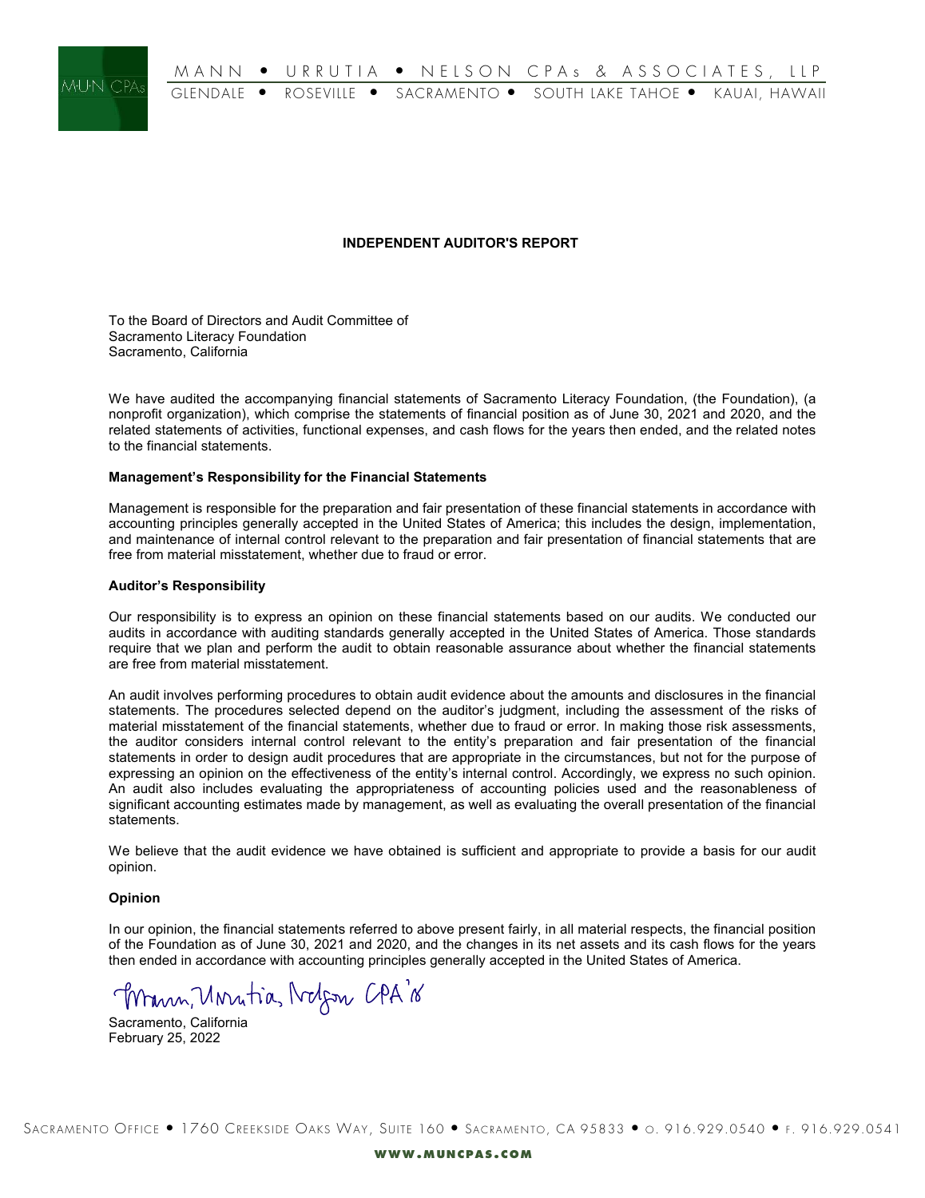

# **INDEPENDENT AUDITOR'S REPORT**

To the Board of Directors and Audit Committee of Sacramento Literacy Foundation Sacramento, California

We have audited the accompanying financial statements of Sacramento Literacy Foundation, (the Foundation), (a nonprofit organization), which comprise the statements of financial position as of June 30, 2021 and 2020, and the related statements of activities, functional expenses, and cash flows for the years then ended, and the related notes to the financial statements.

# Management's Responsibility for the Financial Statements

Management is responsible for the preparation and fair presentation of these financial statements in accordance with accounting principles generally accepted in the United States of America; this includes the design, implementation, and maintenance of internal control relevant to the preparation and fair presentation of financial statements that are free from material misstatement, whether due to fraud or error.

# **Auditor's Responsibility**

Our responsibility is to express an opinion on these financial statements based on our audits. We conducted our audits in accordance with auditing standards generally accepted in the United States of America. Those standards require that we plan and perform the audit to obtain reasonable assurance about whether the financial statements are free from material misstatement.

An audit involves performing procedures to obtain audit evidence about the amounts and disclosures in the financial statements. The procedures selected depend on the auditor's judgment, including the assessment of the risks of material misstatement of the financial statements, whether due to fraud or error. In making those risk assessments, the auditor considers internal control relevant to the entity's preparation and fair presentation of the financial statements in order to design audit procedures that are appropriate in the circumstances, but not for the purpose of expressing an opinion on the effectiveness of the entity's internal control. Accordingly, we express no such opinion. An audit also includes evaluating the appropriateness of accounting policies used and the reasonableness of significant accounting estimates made by management, as well as evaluating the overall presentation of the financial statements.

We believe that the audit evidence we have obtained is sufficient and appropriate to provide a basis for our audit opinion.

# Opinion

In our opinion, the financial statements referred to above present fairly, in all material respects, the financial position of the Foundation as of June 30, 2021 and 2020, and the changes in its net assets and its cash flows for the years then ended in accordance with accounting principles generally accepted in the United States of America.

Mann, Unratia, Nobem CPA's

Sacramento, California February 25, 2022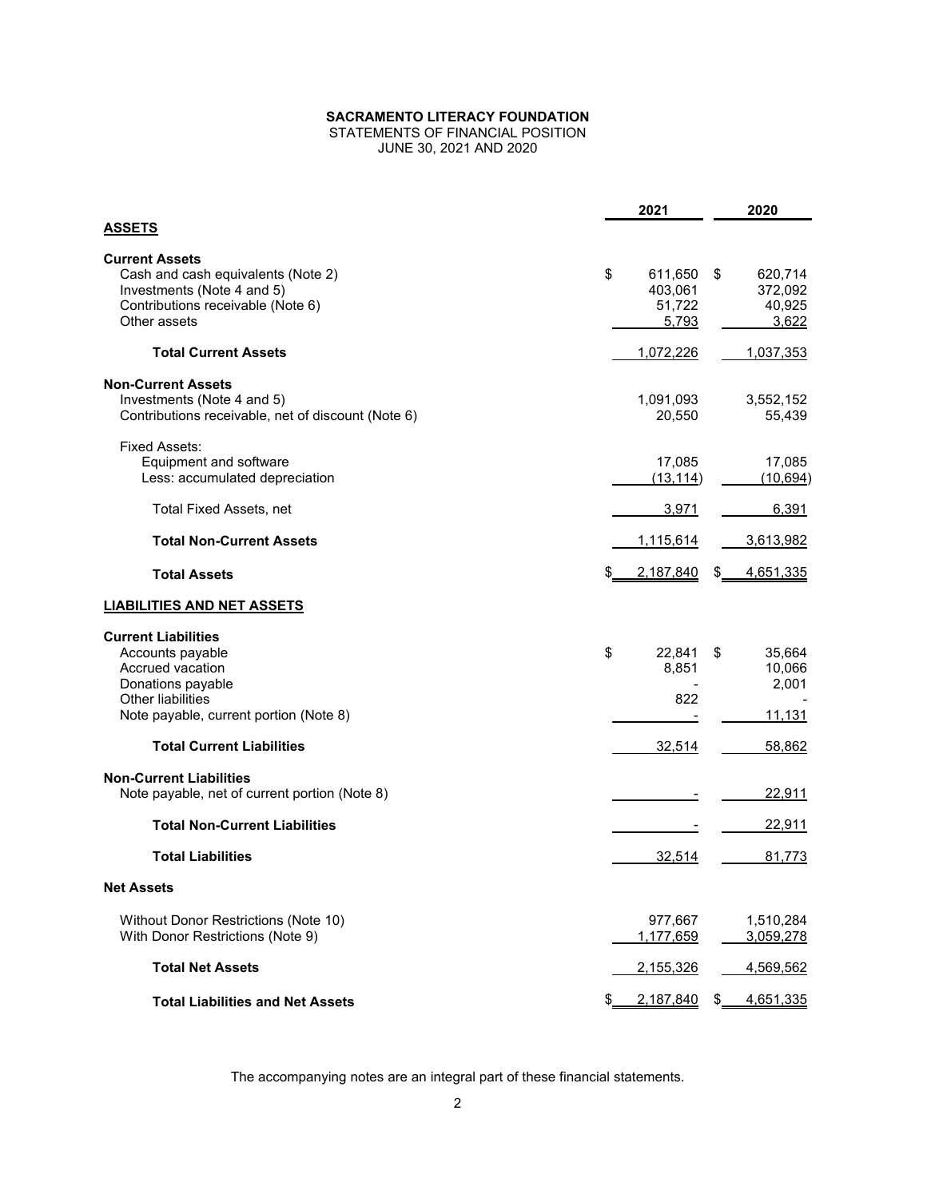# STATEMENTS OF FINANCIAL POSITION JUNE 30, 2021 AND 2020

**2021 2020 ASSETS Current Assets** Cash and cash equivalents (Note 2)  $\qquad \qquad \qquad \qquad$   $\qquad \qquad \qquad$  611,650 \$ 620,714 Investments (Note 4 and 5) 100 and 5 403,061 403,061 372,092<br>Contributions receivable (Note 6) 40,925 Contributions receivable (Note 6) 51,722 Other assets <u> 5,793</u> <u> 3,622</u> **Total Current Assets** 1,037,353 **Non-Current Assets** Investments (Note 4 and 5) 1,091,093 3,552,152 Contributions receivable, net of discount (Note 6) 20,550 55,439 Fixed Assets: Equipment and software 17,085 17,085 17,085 17,085 17,085 17,085 17,085 17,085 17,085 17,085 17,085 17,085 17,085 17,085 17,085 17,085 17,085 17,085 17,085 17,085 17,085 17,085 17,085 17,085 17,085 17,085 17,085 17,085 17, Less: accumulated depreciation  $(13,114)$   $(10,694)$ Total Fixed Assets, net 3,971 6,391 **Total Non-Current Assets** 1,115,614 1,115,614 3,613,982 **Total Assets by a 2,187,840 \$**  $\frac{2,187,840}{9}$  **\$**  $\frac{4,651,335}{9}$ **LIABILITIES AND NET ASSETS Current Liabilities** Accounts payable 6 22,841 \$ 35,664  $\frac{1}{2}$  35,664  $\frac{22,841}{8}$  35,664  $\frac{35,664}{10,066}$ Accrued vacation 10,066 **Accrued vacation** 8,851 10,066 **Donations** payable 2,001 Donations payable the control of the control of the control of the control of the control of the control of the control of the control of the control of the control of the control of the control of the control of the contr Other liabilities 822 and the payable, current portion (Note 8) and the set of the control of the payable, current portion (Note 8) and the control of the control of the payable, current portion (Note 8) and the control of Note payable, current portion (Note 8) - 11,131 **Total Current Liabilities** 32,514 58,862 **Non-Current Liabilities** Note payable, net of current portion (Note 8)  $\overline{\phantom{2}}$  22,911 **Total Non-Current Liabilities** - 22,911 **Total Liabilities** 32,514 81,773 **Net Assets** Without Donor Restrictions (Note 10) and the control of the control of the control of the control of the control of the control of the control of the control of the control of the control of the control of the control of t With Donor Restrictions (Note 9) 1,177,659 3,059,278 **Total Net Assets** 2,155,326 4,569,562 **Total Liabilities and Net Assets 6 2,187,840 \$ 4,651,335**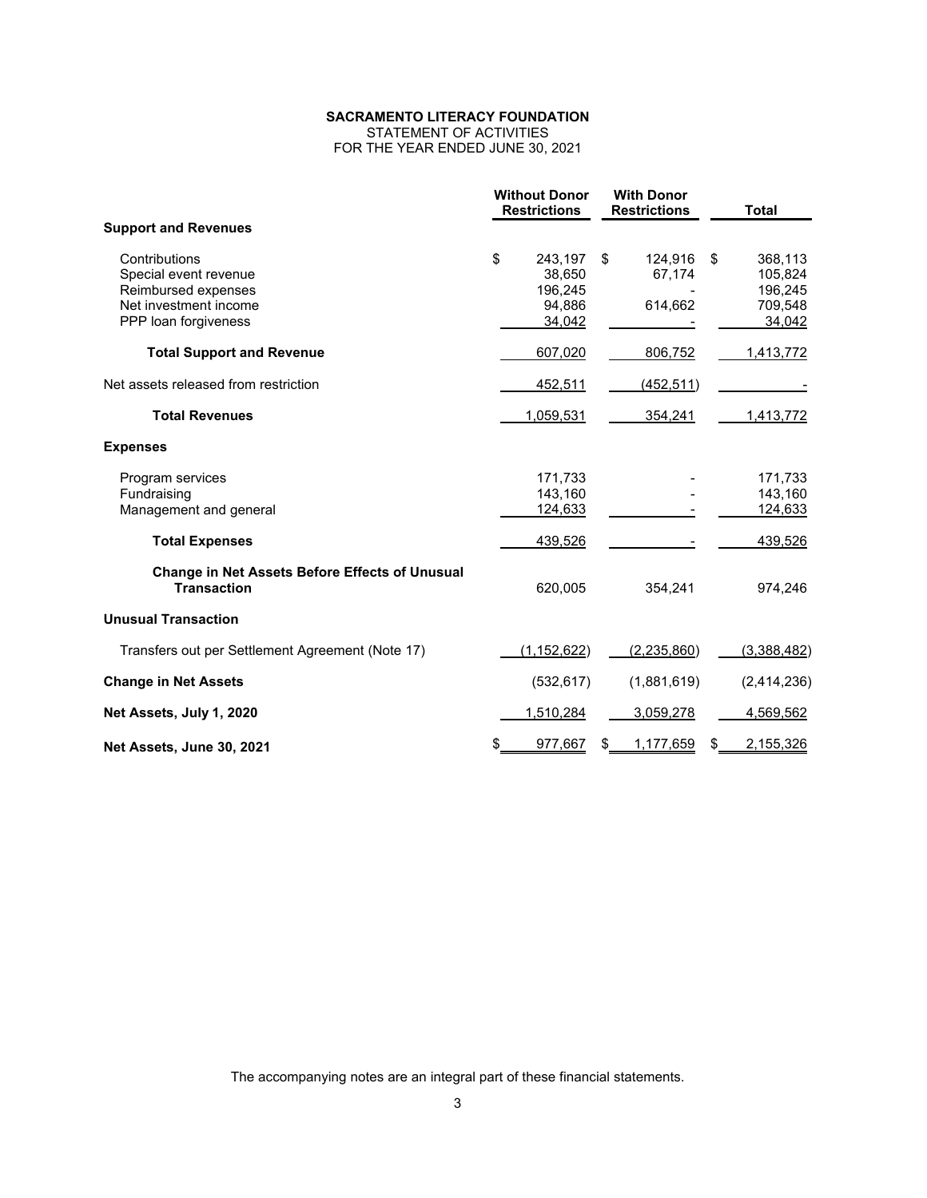STATEMENT OF ACTIVITIES FOR THE YEAR ENDED JUNE 30, 2021

|                                                                                                                | <b>Without Donor</b><br><b>Restrictions</b> |                                                  | <b>With Donor</b><br><b>Restrictions</b> |    | <b>Total</b>                                       |
|----------------------------------------------------------------------------------------------------------------|---------------------------------------------|--------------------------------------------------|------------------------------------------|----|----------------------------------------------------|
| <b>Support and Revenues</b>                                                                                    |                                             |                                                  |                                          |    |                                                    |
| Contributions<br>Special event revenue<br>Reimbursed expenses<br>Net investment income<br>PPP loan forgiveness | \$                                          | 243,197<br>38,650<br>196,245<br>94,886<br>34,042 | \$<br>124,916<br>67,174<br>614,662       | \$ | 368,113<br>105,824<br>196,245<br>709,548<br>34,042 |
| <b>Total Support and Revenue</b>                                                                               |                                             | 607,020                                          | 806,752                                  |    | 1,413,772                                          |
| Net assets released from restriction                                                                           |                                             | 452,511                                          | (452, 511)                               |    |                                                    |
| <b>Total Revenues</b>                                                                                          |                                             | 1,059,531                                        | 354,241                                  |    | 1,413,772                                          |
| <b>Expenses</b>                                                                                                |                                             |                                                  |                                          |    |                                                    |
| Program services<br>Fundraising<br>Management and general                                                      |                                             | 171,733<br>143,160<br>124,633                    |                                          |    | 171,733<br>143,160<br>124,633                      |
| <b>Total Expenses</b>                                                                                          |                                             | 439,526                                          |                                          |    | 439,526                                            |
| <b>Change in Net Assets Before Effects of Unusual</b><br><b>Transaction</b>                                    |                                             | 620,005                                          | 354,241                                  |    | 974,246                                            |
| <b>Unusual Transaction</b>                                                                                     |                                             |                                                  |                                          |    |                                                    |
| Transfers out per Settlement Agreement (Note 17)                                                               |                                             | (1, 152, 622)                                    | (2, 235, 860)                            |    | (3,388,482)                                        |
| <b>Change in Net Assets</b>                                                                                    |                                             | (532, 617)                                       | (1,881,619)                              |    | (2,414,236)                                        |
| Net Assets, July 1, 2020                                                                                       |                                             | 1,510,284                                        | 3,059,278                                |    | 4,569,562                                          |
| Net Assets, June 30, 2021                                                                                      |                                             | 977,667                                          | \$<br>1,177,659                          | \$ | 2,155,326                                          |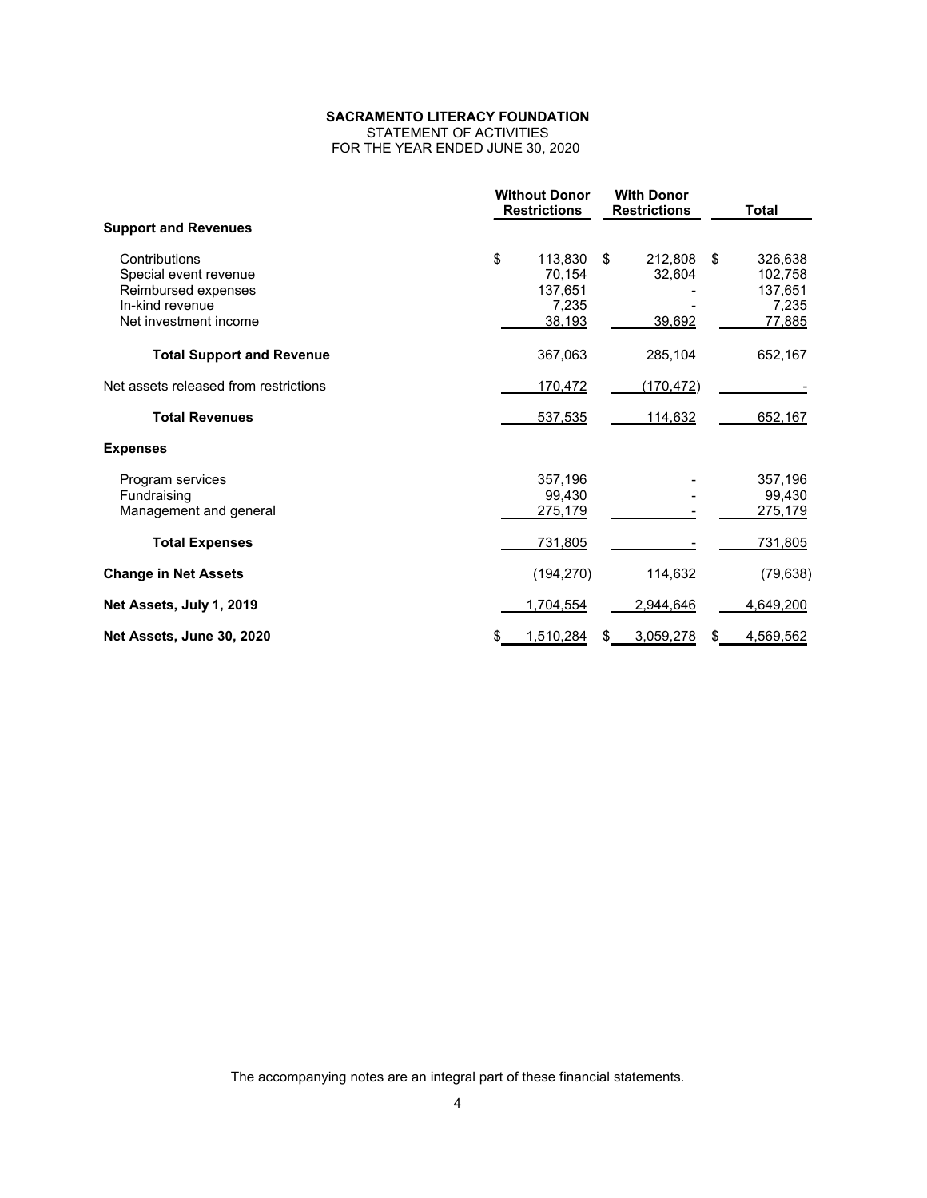STATEMENT OF ACTIVITIES FOR THE YEAR ENDED JUNE 30, 2020

|                                       | <b>Without Donor</b><br><b>Restrictions</b> | <b>With Donor</b><br><b>Restrictions</b> |                | <b>Total</b>   |
|---------------------------------------|---------------------------------------------|------------------------------------------|----------------|----------------|
| <b>Support and Revenues</b>           |                                             |                                          |                |                |
| Contributions                         | \$<br>113,830                               | \$                                       | 212,808<br>\$  | 326,638        |
| Special event revenue                 | 70,154                                      |                                          | 32,604         | 102,758        |
| Reimbursed expenses                   | 137,651                                     |                                          |                | 137,651        |
| In-kind revenue                       | 7,235                                       |                                          |                | 7,235          |
| Net investment income                 | 38,193                                      |                                          | 39,692         | 77,885         |
| <b>Total Support and Revenue</b>      | 367,063                                     |                                          | 285,104        | 652,167        |
| Net assets released from restrictions | 170,472                                     |                                          | (170, 472)     |                |
| <b>Total Revenues</b>                 | 537,535                                     |                                          | 114,632        | 652,167        |
| <b>Expenses</b>                       |                                             |                                          |                |                |
| Program services                      | 357,196                                     |                                          |                | 357,196        |
| Fundraising                           | 99.430                                      |                                          |                | 99,430         |
| Management and general                | 275,179                                     |                                          |                | 275,179        |
| <b>Total Expenses</b>                 | 731,805                                     |                                          |                | <u>731,805</u> |
| <b>Change in Net Assets</b>           | (194, 270)                                  |                                          | 114,632        | (79, 638)      |
| Net Assets, July 1, 2019              | 1,704,554                                   |                                          | 2,944,646      | 4,649,200      |
| Net Assets, June 30, 2020             | 1,510,284                                   | S                                        | 3,059,278<br>S | 4,569,562      |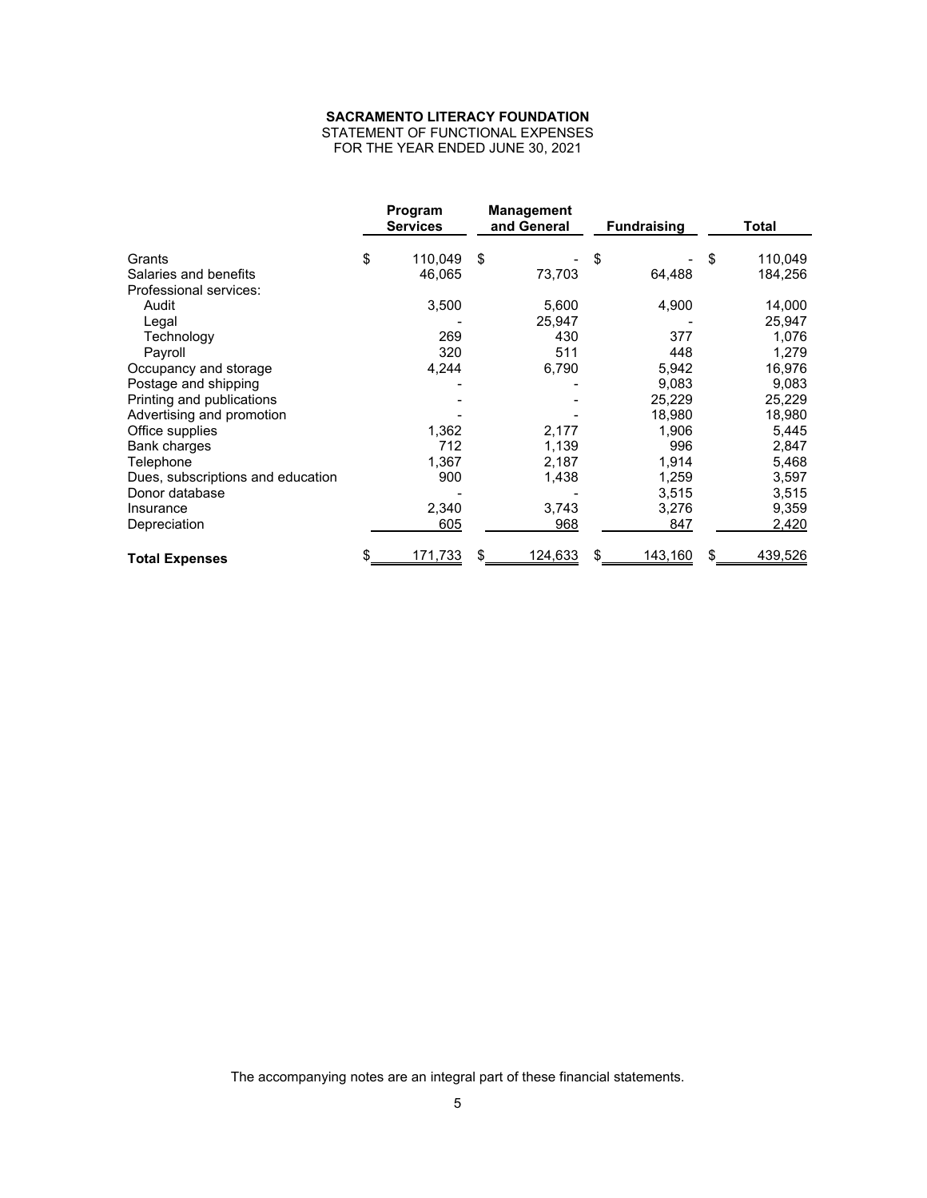STATEMENT OF FUNCTIONAL EXPENSES FOR THE YEAR ENDED JUNE 30, 2021

|                                   | Program<br><b>Services</b> | <b>Management</b><br>and General | <b>Fundraising</b> |     | Total   |
|-----------------------------------|----------------------------|----------------------------------|--------------------|-----|---------|
| Grants                            | \$<br>110,049              | \$                               | \$                 | \$  | 110,049 |
| Salaries and benefits             | 46,065                     | 73,703                           | 64,488             |     | 184,256 |
| Professional services:            |                            |                                  |                    |     |         |
| Audit                             | 3,500                      | 5,600                            | 4,900              |     | 14,000  |
| Legal                             |                            | 25,947                           |                    |     | 25,947  |
| Technology                        | 269                        | 430                              | 377                |     | 1,076   |
| Payroll                           | 320                        | 511                              | 448                |     | 1,279   |
| Occupancy and storage             | 4,244                      | 6,790                            | 5,942              |     | 16,976  |
| Postage and shipping              |                            |                                  | 9,083              |     | 9,083   |
| Printing and publications         |                            |                                  | 25,229             |     | 25,229  |
| Advertising and promotion         |                            |                                  | 18,980             |     | 18,980  |
| Office supplies                   | 1,362                      | 2,177                            | 1,906              |     | 5,445   |
| Bank charges                      | 712                        | 1,139                            | 996                |     | 2,847   |
| Telephone                         | 1,367                      | 2,187                            | 1,914              |     | 5,468   |
| Dues, subscriptions and education | 900                        | 1,438                            | 1,259              |     | 3,597   |
| Donor database                    |                            |                                  | 3,515              |     | 3,515   |
| Insurance                         | 2,340                      | 3,743                            | 3,276              |     | 9,359   |
| Depreciation                      | 605                        | 968                              | 847                |     | 2,420   |
| <b>Total Expenses</b>             | <u>171,733</u>             | <u>124,633</u>                   | <u>143,160</u>     | \$. | 439,526 |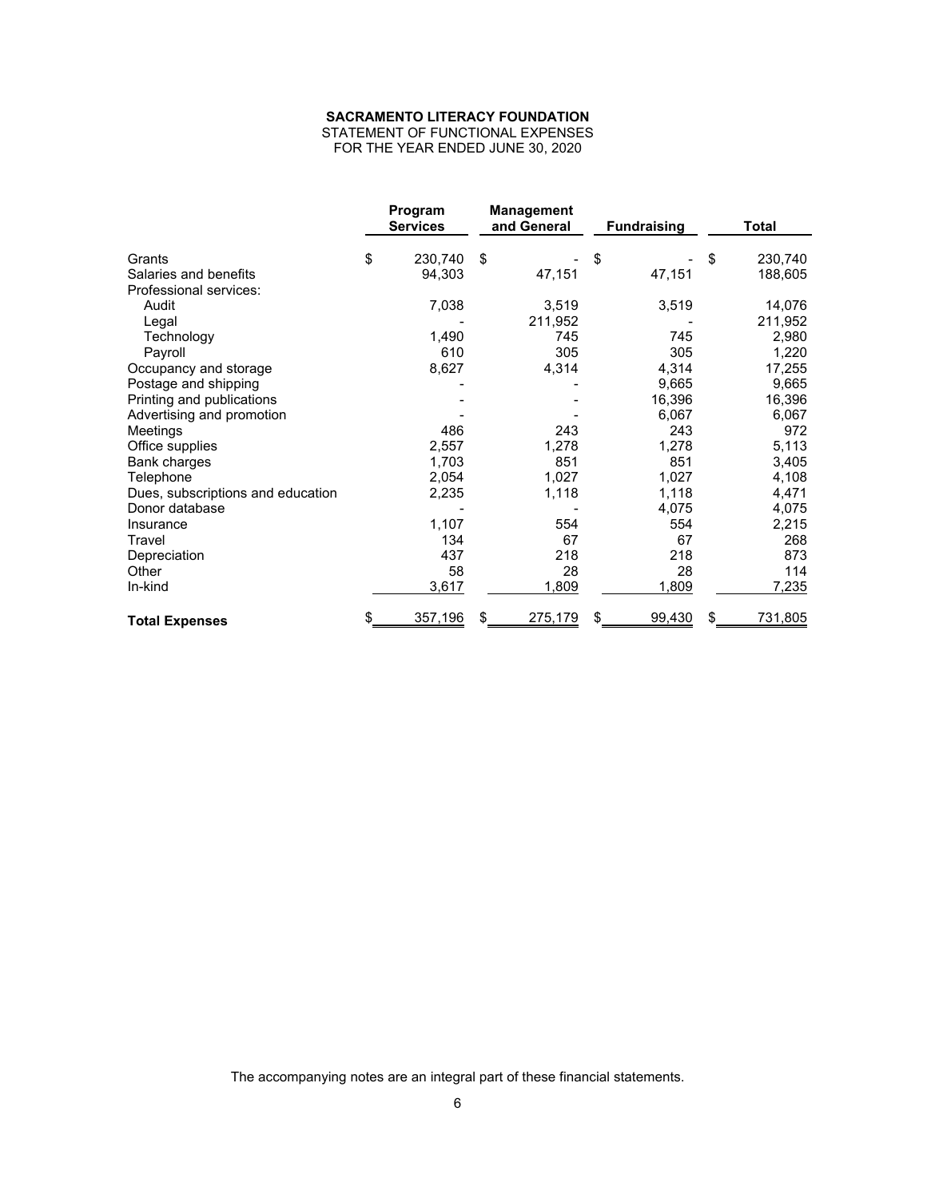STATEMENT OF FUNCTIONAL EXPENSES FOR THE YEAR ENDED JUNE 30, 2020

|                                   | Program<br><b>Services</b> | <b>Management</b><br>and General | <b>Fundraising</b> | <b>Total</b>  |
|-----------------------------------|----------------------------|----------------------------------|--------------------|---------------|
| Grants                            | \$<br>230,740              | \$                               | \$                 | \$<br>230,740 |
| Salaries and benefits             | 94,303                     | 47,151                           | 47,151             | 188,605       |
| Professional services:            |                            |                                  |                    |               |
| Audit                             | 7,038                      | 3,519                            | 3,519              | 14,076        |
| Legal                             |                            | 211,952                          |                    | 211,952       |
| Technology                        | 1,490                      | 745                              | 745                | 2,980         |
| Payroll                           | 610                        | 305                              | 305                | 1,220         |
| Occupancy and storage             | 8,627                      | 4,314                            | 4,314              | 17,255        |
| Postage and shipping              |                            |                                  | 9,665              | 9,665         |
| Printing and publications         |                            |                                  | 16,396             | 16,396        |
| Advertising and promotion         |                            |                                  | 6,067              | 6,067         |
| Meetings                          | 486                        | 243                              | 243                | 972           |
| Office supplies                   | 2,557                      | 1,278                            | 1,278              | 5,113         |
| Bank charges                      | 1,703                      | 851                              | 851                | 3,405         |
| Telephone                         | 2,054                      | 1,027                            | 1,027              | 4,108         |
| Dues, subscriptions and education | 2,235                      | 1,118                            | 1,118              | 4,471         |
| Donor database                    |                            |                                  | 4,075              | 4,075         |
| Insurance                         | 1,107                      | 554                              | 554                | 2,215         |
| Travel                            | 134                        | 67                               | 67                 | 268           |
| Depreciation                      | 437                        | 218                              | 218                | 873           |
| Other                             | 58                         | 28                               | 28                 | 114           |
| In-kind                           | 3,617                      | 1,809                            | 1,809              | 7,235         |
| <b>Total Expenses</b>             | \$<br>357,196              | 275,179<br>£.                    | 99,430             | \$<br>731,805 |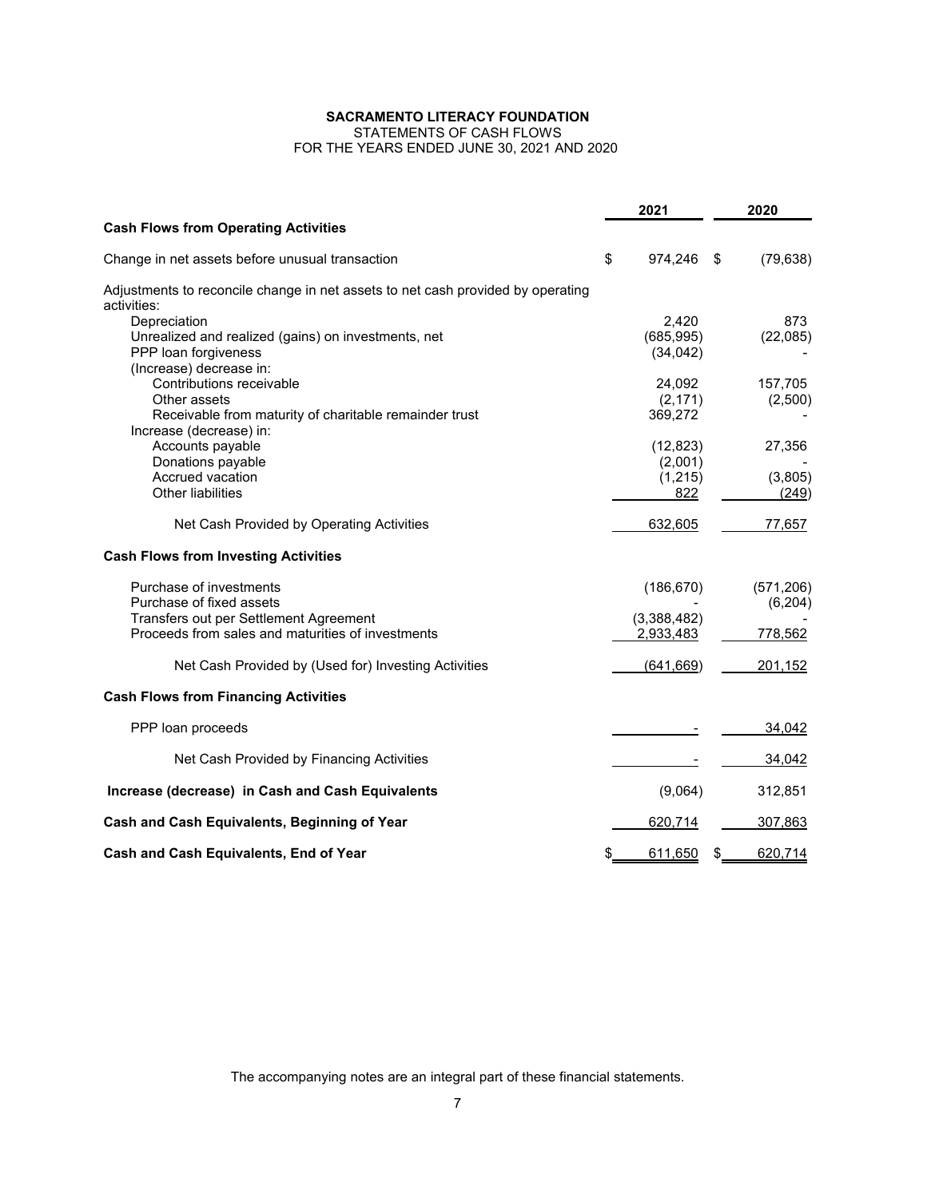STATEMENTS OF CASH FLOWS

FOR THE YEARS ENDED JUNE 30, 2021 AND 2020

|                                                                                 | 2021 |             |    | 2020       |  |  |
|---------------------------------------------------------------------------------|------|-------------|----|------------|--|--|
| <b>Cash Flows from Operating Activities</b>                                     |      |             |    |            |  |  |
| Change in net assets before unusual transaction                                 | \$   | 974,246     | \$ | (79, 638)  |  |  |
| Adjustments to reconcile change in net assets to net cash provided by operating |      |             |    |            |  |  |
| activities:<br>Depreciation                                                     |      | 2,420       |    | 873        |  |  |
| Unrealized and realized (gains) on investments, net                             |      | (685, 995)  |    | (22,085)   |  |  |
| PPP loan forgiveness                                                            |      | (34, 042)   |    |            |  |  |
| (Increase) decrease in:                                                         |      |             |    |            |  |  |
| Contributions receivable                                                        |      | 24,092      |    | 157,705    |  |  |
| Other assets                                                                    |      | (2, 171)    |    | (2,500)    |  |  |
| Receivable from maturity of charitable remainder trust                          |      | 369,272     |    |            |  |  |
| Increase (decrease) in:                                                         |      |             |    |            |  |  |
| Accounts payable                                                                |      | (12, 823)   |    | 27,356     |  |  |
| Donations payable                                                               |      | (2,001)     |    |            |  |  |
| Accrued vacation                                                                |      | (1, 215)    |    | (3,805)    |  |  |
| Other liabilities                                                               |      | 822         |    | (249)      |  |  |
| Net Cash Provided by Operating Activities                                       |      | 632,605     |    | 77,657     |  |  |
| <b>Cash Flows from Investing Activities</b>                                     |      |             |    |            |  |  |
| Purchase of investments                                                         |      | (186, 670)  |    | (571, 206) |  |  |
| Purchase of fixed assets                                                        |      |             |    | (6, 204)   |  |  |
| Transfers out per Settlement Agreement                                          |      | (3,388,482) |    |            |  |  |
| Proceeds from sales and maturities of investments                               |      | 2,933,483   |    | 778,562    |  |  |
| Net Cash Provided by (Used for) Investing Activities                            |      | (641, 669)  |    | 201,152    |  |  |
| <b>Cash Flows from Financing Activities</b>                                     |      |             |    |            |  |  |
| PPP loan proceeds                                                               |      |             |    | 34,042     |  |  |
| Net Cash Provided by Financing Activities                                       |      |             |    | 34,042     |  |  |
| Increase (decrease) in Cash and Cash Equivalents                                |      | (9,064)     |    | 312,851    |  |  |
| Cash and Cash Equivalents, Beginning of Year                                    |      | 620,714     |    | 307,863    |  |  |
| Cash and Cash Equivalents, End of Year                                          |      | 611,650     | S  | 620,714    |  |  |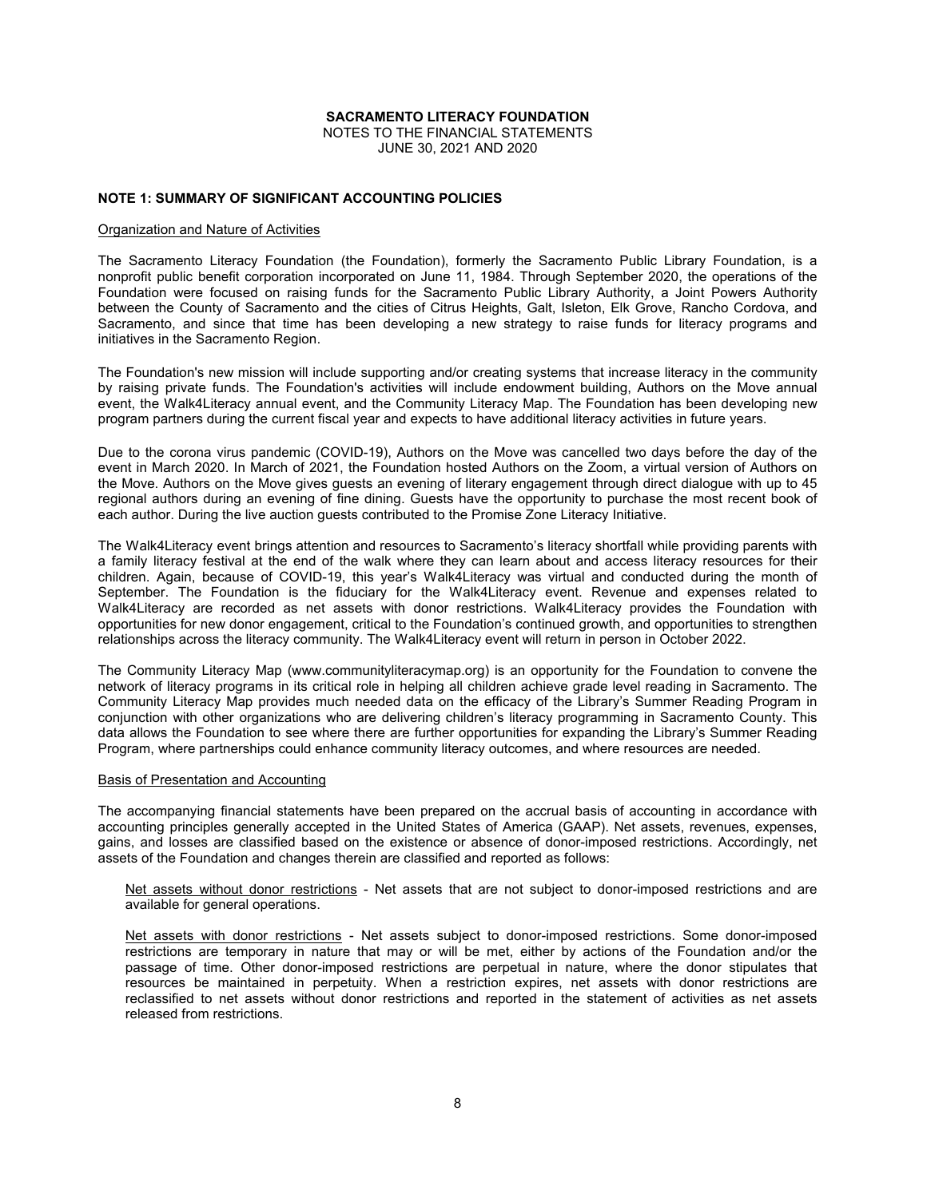NOTES TO THE FINANCIAL STATEMENTS JUNE 30, 2021 AND 2020

# **NOTE 1: SUMMARY OF SIGNIFICANT ACCOUNTING POLICIES**

#### Organization and Nature of Activities

The Sacramento Literacy Foundation (the Foundation), formerly the Sacramento Public Library Foundation, is a nonprofit public benefit corporation incorporated on June 11, 1984. Through September 2020, the operations of the Foundation were focused on raising funds for the Sacramento Public Library Authority, a Joint Powers Authority between the County of Sacramento and the cities of Citrus Heights, Galt, Isleton, Elk Grove, Rancho Cordova, and Sacramento, and since that time has been developing a new strategy to raise funds for literacy programs and initiatives in the Sacramento Region.

The Foundation's new mission will include supporting and/or creating systems that increase literacy in the community by raising private funds. The Foundation's activities will include endowment building, Authors on the Move annual event, the Walk4Literacy annual event, and the Community Literacy Map. The Foundation has been developing new program partners during the current fiscal year and expects to have additional literacy activities in future years.

Due to the corona virus pandemic (COVID-19), Authors on the Move was cancelled two days before the day of the event in March 2020. In March of 2021, the Foundation hosted Authors on the Zoom, a virtual version of Authors on the Move. Authors on the Move gives guests an evening of literary engagement through direct dialogue with up to 45 regional authors during an evening of fine dining. Guests have the opportunity to purchase the most recent book of each author. During the live auction guests contributed to the Promise Zone Literacy Initiative.

The Walk4Literacy event brings attention and resources to Sacramento's literacy shortfall while providing parents with a family literacy festival at the end of the walk where they can learn about and access literacy resources for their children. Again, because of COVID-19, this year's Walk4Literacy was virtual and conducted during the month of September. The Foundation is the fiduciary for the Walk4Literacy event. Revenue and expenses related to Walk4Literacy are recorded as net assets with donor restrictions. Walk4Literacy provides the Foundation with opportunities for new donor engagement, critical to the Foundation's continued growth, and opportunities to strengthen relationships across the literacy community. The Walk4Literacy event will return in person in October 2022.

The Community Literacy Map (www.communityliteracymap.org) is an opportunity for the Foundation to convene the network of literacy programs in its critical role in helping all children achieve grade level reading in Sacramento. The Community Literacy Map provides much needed data on the efficacy of the Library's Summer Reading Program in conjunction with other organizations who are delivering children's literacy programming in Sacramento County. This data allows the Foundation to see where there are further opportunities for expanding the Library's Summer Reading Program, where partnerships could enhance community literacy outcomes, and where resources are needed.

#### Basis of Presentation and Accounting

The accompanying financial statements have been prepared on the accrual basis of accounting in accordance with accounting principles generally accepted in the United States of America (GAAP). Net assets, revenues, expenses, gains, and losses are classified based on the existence or absence of donor-imposed restrictions. Accordingly, net assets of the Foundation and changes therein are classified and reported as follows:

Net assets without donor restrictions - Net assets that are not subject to donor-imposed restrictions and are available for general operations.

Net assets with donor restrictions - Net assets subject to donor-imposed restrictions. Some donor-imposed restrictions are temporary in nature that may or will be met, either by actions of the Foundation and/or the passage of time. Other donor-imposed restrictions are perpetual in nature, where the donor stipulates that resources be maintained in perpetuity. When a restriction expires, net assets with donor restrictions are reclassified to net assets without donor restrictions and reported in the statement of activities as net assets released from restrictions.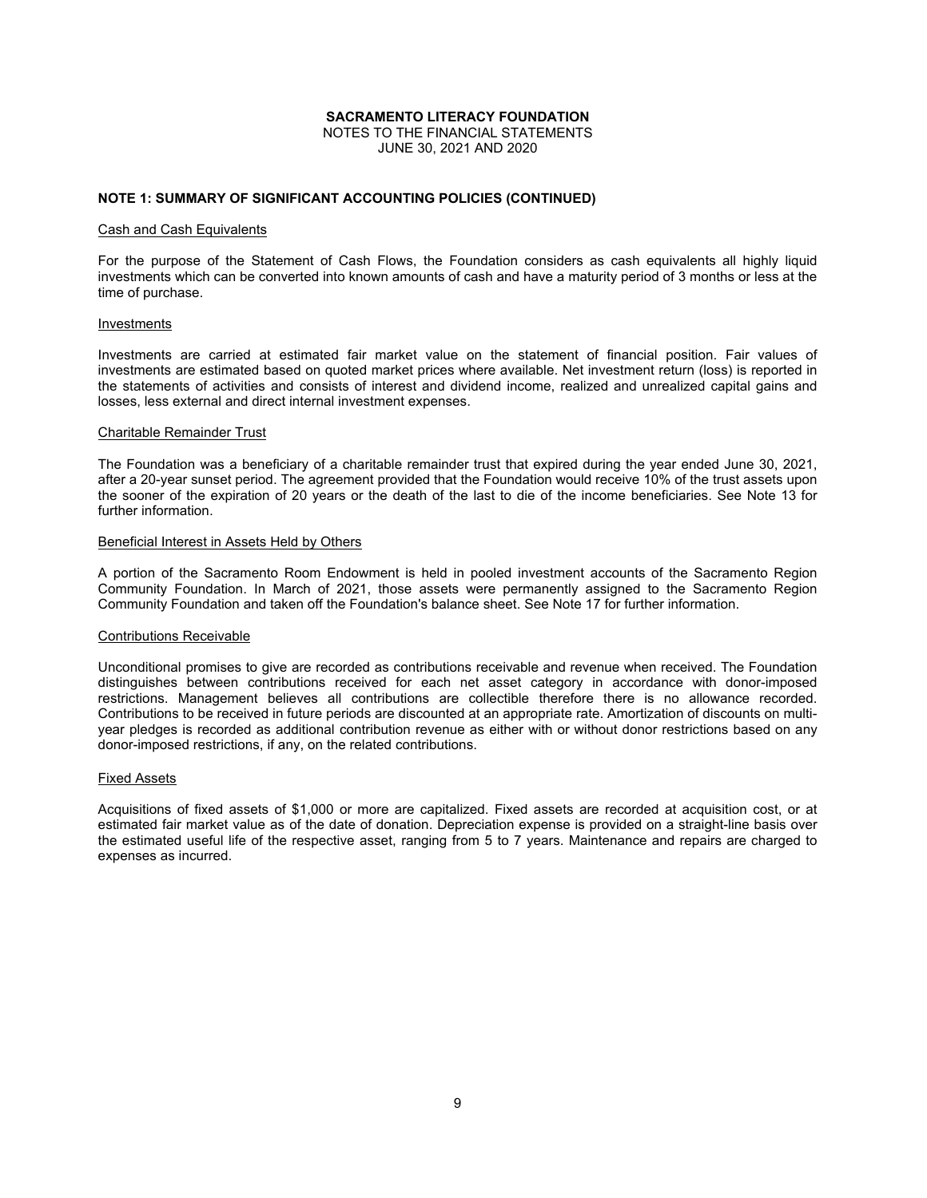NOTES TO THE FINANCIAL STATEMENTS JUNE 30, 2021 AND 2020

# **NOTE 1: SUMMARY OF SIGNIFICANT ACCOUNTING POLICIES (CONTINUED)**

#### Cash and Cash Equivalents

For the purpose of the Statement of Cash Flows, the Foundation considers as cash equivalents all highly liquid investments which can be converted into known amounts of cash and have a maturity period of 3 months or less at the time of purchase.

#### Investments

Investments are carried at estimated fair market value on the statement of financial position. Fair values of investments are estimated based on quoted market prices where available. Net investment return (loss) is reported in the statements of activities and consists of interest and dividend income, realized and unrealized capital gains and losses, less external and direct internal investment expenses.

#### Charitable Remainder Trust

The Foundation was a beneficiary of a charitable remainder trust that expired during the year ended June 30, 2021, after a 20-year sunset period. The agreement provided that the Foundation would receive 10% of the trust assets upon the sooner of the expiration of 20 years or the death of the last to die of the income beneficiaries. See Note 13 for further information.

#### Beneficial Interest in Assets Held by Others

A portion of the Sacramento Room Endowment is held in pooled investment accounts of the Sacramento Region Community Foundation. In March of 2021, those assets were permanently assigned to the Sacramento Region Community Foundation and taken off the Foundation's balance sheet. See Note 17 for further information.

# Contributions Receivable

Unconditional promises to give are recorded as contributions receivable and revenue when received. The Foundation distinguishes between contributions received for each net asset category in accordance with donor-imposed restrictions. Management believes all contributions are collectible therefore there is no allowance recorded. Contributions to be received in future periods are discounted at an appropriate rate. Amortization of discounts on multiyear pledges is recorded as additional contribution revenue as either with or without donor restrictions based on any donor-imposed restrictions, if any, on the related contributions.

# Fixed Assets

Acquisitions of fixed assets of \$1,000 or more are capitalized. Fixed assets are recorded at acquisition cost, or at estimated fair market value as of the date of donation. Depreciation expense is provided on a straight-line basis over the estimated useful life of the respective asset, ranging from 5 to 7 years. Maintenance and repairs are charged to expenses as incurred.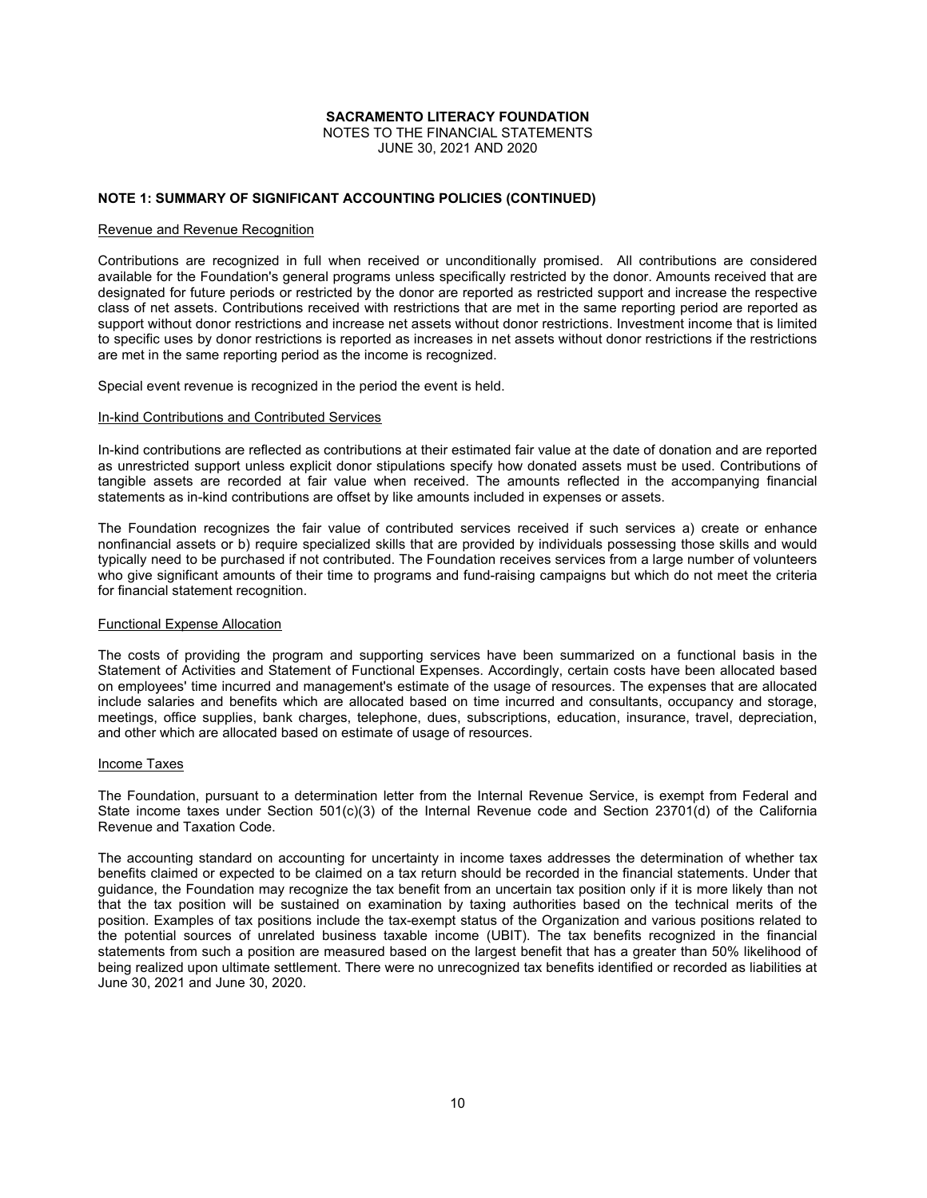NOTES TO THE FINANCIAL STATEMENTS JUNE 30, 2021 AND 2020

# **NOTE 1: SUMMARY OF SIGNIFICANT ACCOUNTING POLICIES (CONTINUED)**

#### Revenue and Revenue Recognition

Contributions are recognized in full when received or unconditionally promised. All contributions are considered available for the Foundation's general programs unless specifically restricted by the donor. Amounts received that are designated for future periods or restricted by the donor are reported as restricted support and increase the respective class of net assets. Contributions received with restrictions that are met in the same reporting period are reported as support without donor restrictions and increase net assets without donor restrictions. Investment income that is limited to specific uses by donor restrictions is reported as increases in net assets without donor restrictions if the restrictions are met in the same reporting period as the income is recognized.

Special event revenue is recognized in the period the event is held.

#### In-kind Contributions and Contributed Services

In-kind contributions are reflected as contributions at their estimated fair value at the date of donation and are reported as unrestricted support unless explicit donor stipulations specify how donated assets must be used. Contributions of tangible assets are recorded at fair value when received. The amounts reflected in the accompanying financial statements as in-kind contributions are offset by like amounts included in expenses or assets.

The Foundation recognizes the fair value of contributed services received if such services a) create or enhance nonfinancial assets or b) require specialized skills that are provided by individuals possessing those skills and would typically need to be purchased if not contributed. The Foundation receives services from a large number of volunteers who give significant amounts of their time to programs and fund-raising campaigns but which do not meet the criteria for financial statement recognition.

# Functional Expense Allocation

The costs of providing the program and supporting services have been summarized on a functional basis in the Statement of Activities and Statement of Functional Expenses. Accordingly, certain costs have been allocated based on employees' time incurred and management's estimate of the usage of resources. The expenses that are allocated include salaries and benefits which are allocated based on time incurred and consultants, occupancy and storage, meetings, office supplies, bank charges, telephone, dues, subscriptions, education, insurance, travel, depreciation, and other which are allocated based on estimate of usage of resources.

# Income Taxes

The Foundation, pursuant to a determination letter from the Internal Revenue Service, is exempt from Federal and State income taxes under Section 501(c)(3) of the Internal Revenue code and Section 23701(d) of the California Revenue and Taxation Code.

The accounting standard on accounting for uncertainty in income taxes addresses the determination of whether tax benefits claimed or expected to be claimed on a tax return should be recorded in the financial statements. Under that guidance, the Foundation may recognize the tax benefit from an uncertain tax position only if it is more likely than not that the tax position will be sustained on examination by taxing authorities based on the technical merits of the position. Examples of tax positions include the tax-exempt status of the Organization and various positions related to the potential sources of unrelated business taxable income (UBIT). The tax benefits recognized in the financial statements from such a position are measured based on the largest benefit that has a greater than 50% likelihood of being realized upon ultimate settlement. There were no unrecognized tax benefits identified or recorded as liabilities at June 30, 2021 and June 30, 2020.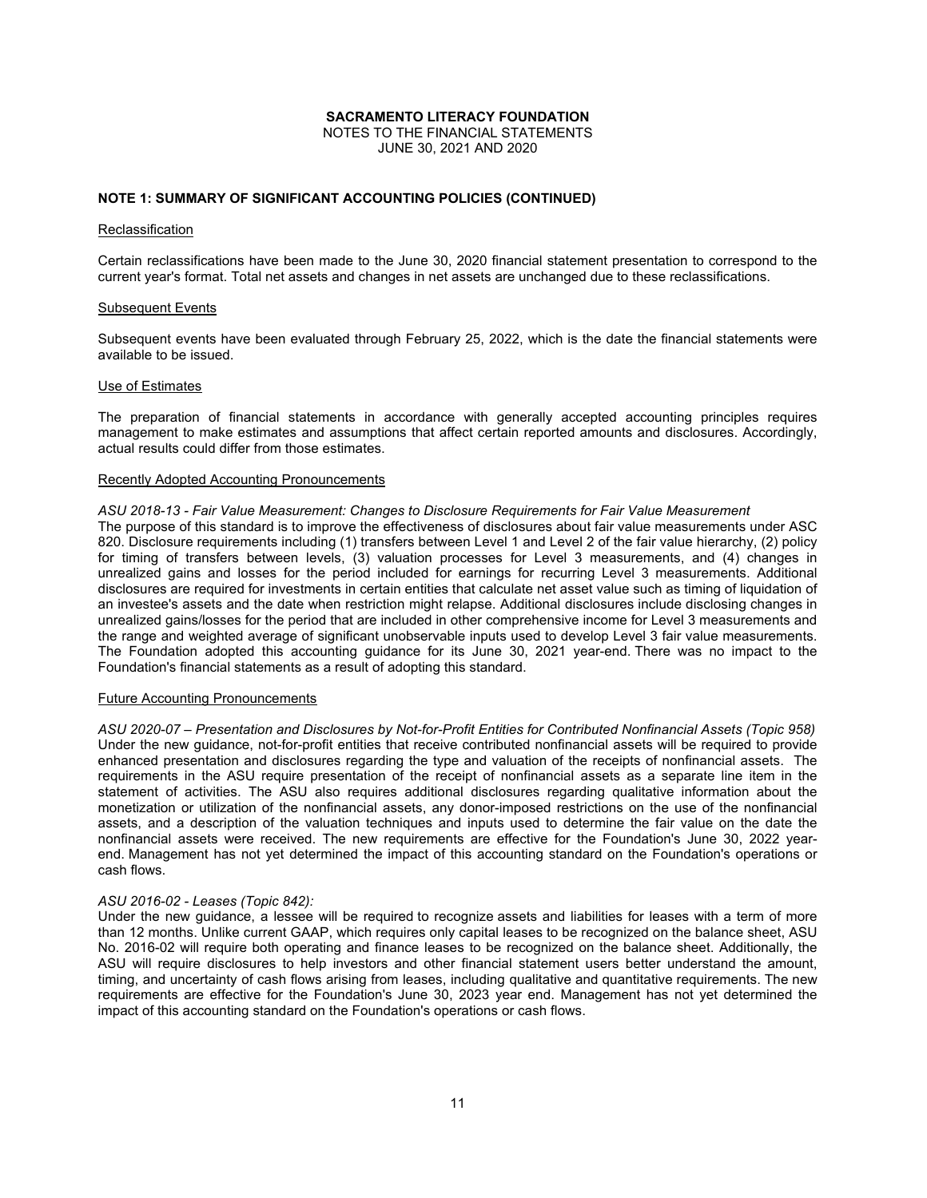NOTES TO THE FINANCIAL STATEMENTS JUNE 30, 2021 AND 2020

# **NOTE 1: SUMMARY OF SIGNIFICANT ACCOUNTING POLICIES (CONTINUED)**

#### Reclassification

Certain reclassifications have been made to the June 30, 2020 financial statement presentation to correspond to the current year's format. Total net assets and changes in net assets are unchanged due to these reclassifications.

#### Subsequent Events

Subsequent events have been evaluated through February 25, 2022, which is the date the financial statements were available to be issued.

#### Use of Estimates

The preparation of financial statements in accordance with generally accepted accounting principles requires management to make estimates and assumptions that affect certain reported amounts and disclosures. Accordingly, actual results could differ from those estimates.

#### Recently Adopted Accounting Pronouncements

#### *ASU 2018-13 - Fair Value Measurement: Changes to Disclosure Requirements for Fair Value Measurement*

The purpose of this standard is to improve the effectiveness of disclosures about fair value measurements under ASC 820. Disclosure requirements including (1) transfers between Level 1 and Level 2 of the fair value hierarchy, (2) policy for timing of transfers between levels, (3) valuation processes for Level 3 measurements, and (4) changes in unrealized gains and losses for the period included for earnings for recurring Level 3 measurements. Additional disclosures are required for investments in certain entities that calculate net asset value such as timing of liquidation of an investee's assets and the date when restriction might relapse. Additional disclosures include disclosing changes in unrealized gains/losses for the period that are included in other comprehensive income for Level 3 measurements and the range and weighted average of significant unobservable inputs used to develop Level 3 fair value measurements. The Foundation adopted this accounting guidance for its June 30, 2021 year-end. There was no impact to the Foundation's financial statements as a result of adopting this standard.

### Future Accounting Pronouncements

*ASU 2020-07 – Presentation and Disclosures by Not-for-Profit Entities for Contributed Nonfinancial Assets (Topic 958)* Under the new guidance, not-for-profit entities that receive contributed nonfinancial assets will be required to provide enhanced presentation and disclosures regarding the type and valuation of the receipts of nonfinancial assets. The requirements in the ASU require presentation of the receipt of nonfinancial assets as a separate line item in the statement of activities. The ASU also requires additional disclosures regarding qualitative information about the monetization or utilization of the nonfinancial assets, any donor-imposed restrictions on the use of the nonfinancial assets, and a description of the valuation techniques and inputs used to determine the fair value on the date the nonfinancial assets were received. The new requirements are effective for the Foundation's June 30, 2022 yearend. Management has not yet determined the impact of this accounting standard on the Foundation's operations or cash flows.

#### *ASU 2016-02 - Leases (Topic 842):*

Under the new guidance, a lessee will be required to recognize assets and liabilities for leases with a term of more than 12 months. Unlike current GAAP, which requires only capital leases to be recognized on the balance sheet, ASU No. 2016-02 will require both operating and finance leases to be recognized on the balance sheet. Additionally, the ASU will require disclosures to help investors and other financial statement users better understand the amount, timing, and uncertainty of cash flows arising from leases, including qualitative and quantitative requirements. The new requirements are effective for the Foundation's June 30, 2023 year end. Management has not yet determined the impact of this accounting standard on the Foundation's operations or cash flows.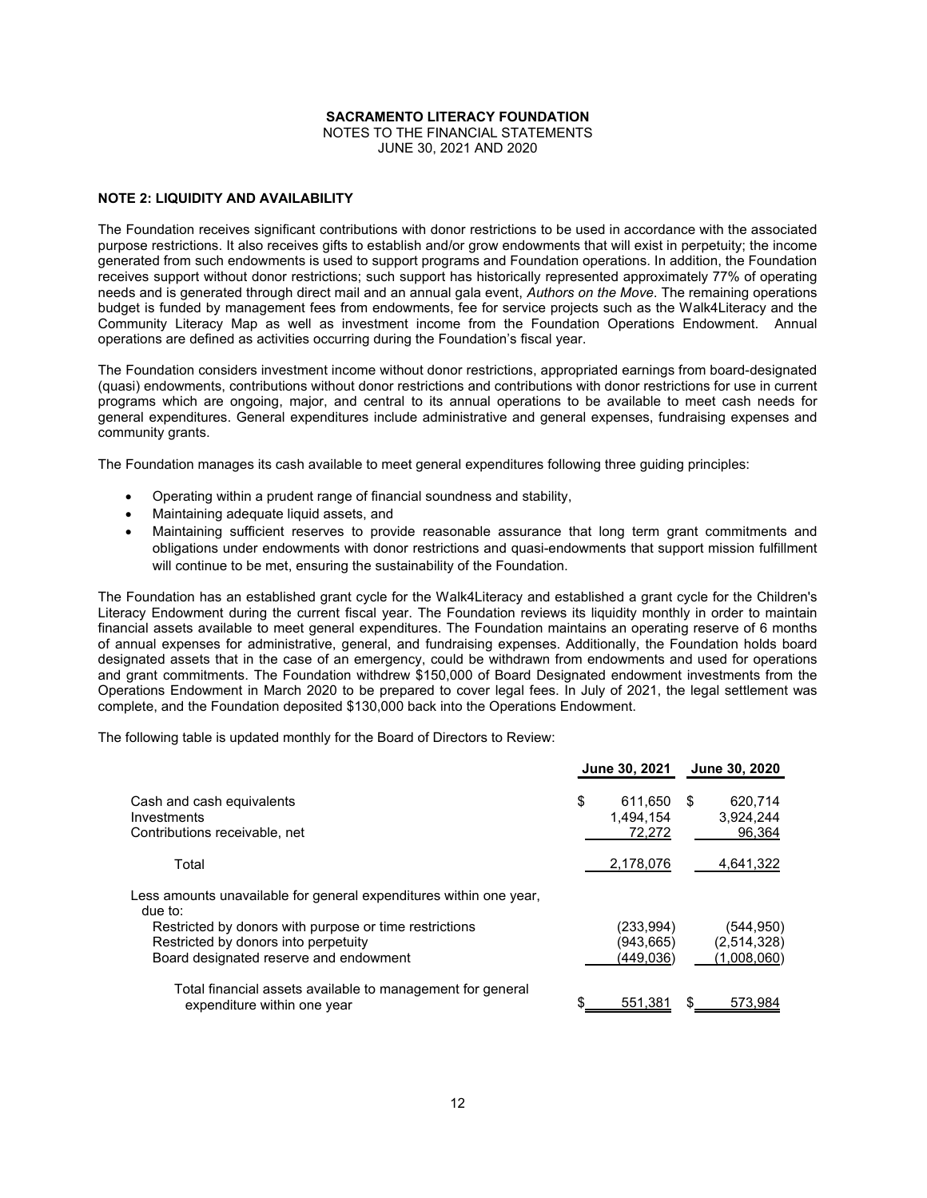NOTES TO THE FINANCIAL STATEMENTS JUNE 30, 2021 AND 2020

# **NOTE 2: LIQUIDITY AND AVAILABILITY**

The Foundation receives significant contributions with donor restrictions to be used in accordance with the associated purpose restrictions. It also receives gifts to establish and/or grow endowments that will exist in perpetuity; the income generated from such endowments is used to support programs and Foundation operations. In addition, the Foundation receives support without donor restrictions; such support has historically represented approximately 77% of operating needs and is generated through direct mail and an annual gala event, *Authors on the Move*. The remaining operations budget is funded by management fees from endowments, fee for service projects such as the Walk4Literacy and the Community Literacy Map as well as investment income from the Foundation Operations Endowment. Annual operations are defined as activities occurring during the Foundation's fiscal year.

The Foundation considers investment income without donor restrictions, appropriated earnings from board-designated (quasi) endowments, contributions without donor restrictions and contributions with donor restrictions for use in current programs which are ongoing, major, and central to its annual operations to be available to meet cash needs for general expenditures. General expenditures include administrative and general expenses, fundraising expenses and community grants.

The Foundation manages its cash available to meet general expenditures following three guiding principles:

- Operating within a prudent range of financial soundness and stability,
- Maintaining adequate liquid assets, and
- Maintaining sufficient reserves to provide reasonable assurance that long term grant commitments and obligations under endowments with donor restrictions and quasi-endowments that support mission fulfillment will continue to be met, ensuring the sustainability of the Foundation.

The Foundation has an established grant cycle for the Walk4Literacy and established a grant cycle for the Children's Literacy Endowment during the current fiscal year. The Foundation reviews its liquidity monthly in order to maintain financial assets available to meet general expenditures. The Foundation maintains an operating reserve of 6 months of annual expenses for administrative, general, and fundraising expenses. Additionally, the Foundation holds board designated assets that in the case of an emergency, could be withdrawn from endowments and used for operations and grant commitments. The Foundation withdrew \$150,000 of Board Designated endowment investments from the Operations Endowment in March 2020 to be prepared to cover legal fees. In July of 2021, the legal settlement was complete, and the Foundation deposited \$130,000 back into the Operations Endowment.

The following table is updated monthly for the Board of Directors to Review:

|                                                                                                                                          | June 30, 2021                          |    | June 30, 2020                            |
|------------------------------------------------------------------------------------------------------------------------------------------|----------------------------------------|----|------------------------------------------|
| Cash and cash equivalents<br><b>Investments</b><br>Contributions receivable, net                                                         | \$<br>611.650<br>1.494.154<br>72,272   | -S | 620,714<br>3,924,244<br>96,364           |
| Total                                                                                                                                    | 2,178,076                              |    | 4,641,322                                |
| Less amounts unavailable for general expenditures within one year,<br>due to:                                                            |                                        |    |                                          |
| Restricted by donors with purpose or time restrictions<br>Restricted by donors into perpetuity<br>Board designated reserve and endowment | (233, 994)<br>(943, 665)<br>(449, 036) |    | (544, 950)<br>(2,514,328)<br>(1,008,060) |
| Total financial assets available to management for general<br>expenditure within one year                                                | 551,381                                | \$ | 573,984                                  |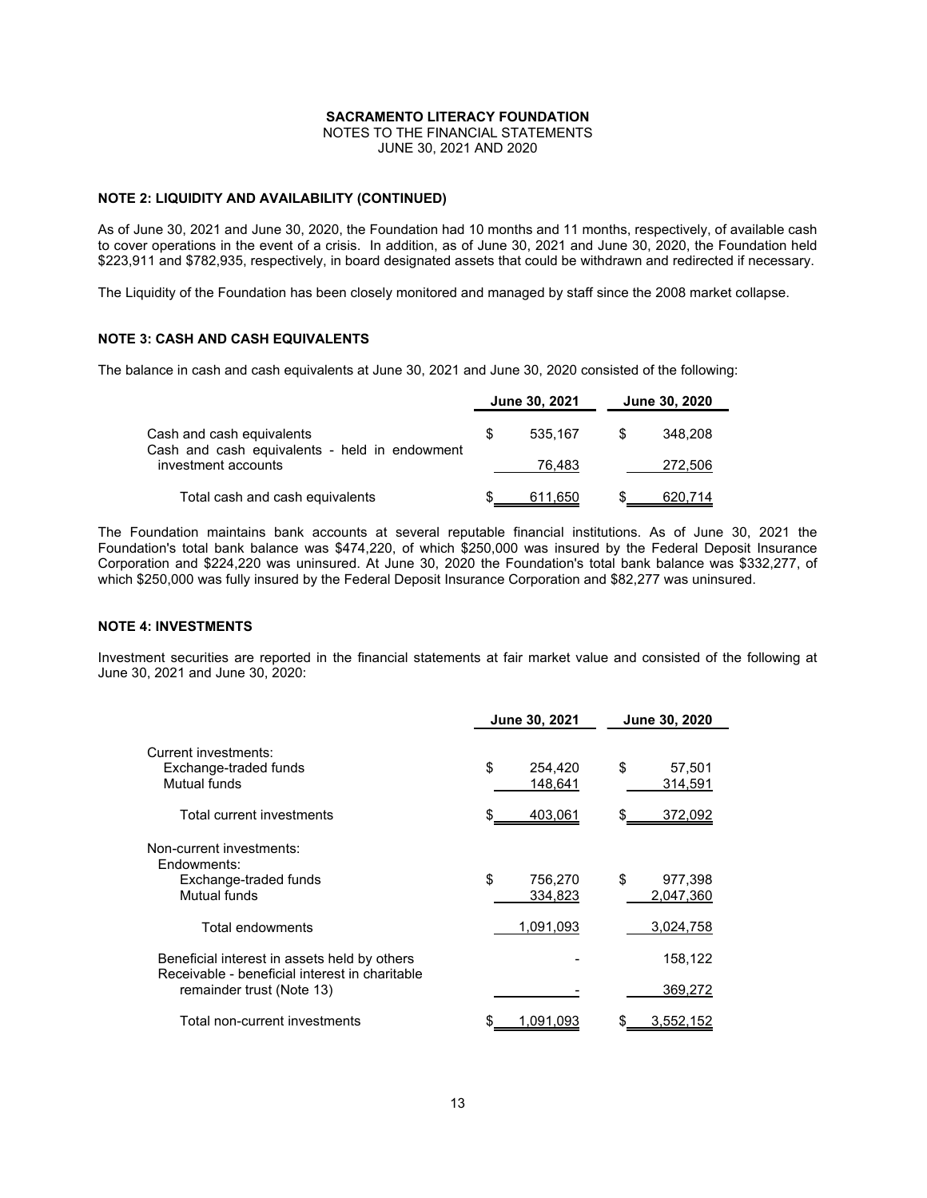NOTES TO THE FINANCIAL STATEMENTS JUNE 30, 2021 AND 2020

# **NOTE 2: LIQUIDITY AND AVAILABILITY (CONTINUED)**

As of June 30, 2021 and June 30, 2020, the Foundation had 10 months and 11 months, respectively, of available cash to cover operations in the event of a crisis. In addition, as of June 30, 2021 and June 30, 2020, the Foundation held \$223,911 and \$782,935, respectively, in board designated assets that could be withdrawn and redirected if necessary.

The Liquidity of the Foundation has been closely monitored and managed by staff since the 2008 market collapse.

# **NOTE 3: CASH AND CASH EQUIVALENTS**

The balance in cash and cash equivalents at June 30, 2021 and June 30, 2020 consisted of the following:

|                                                                                                   |  | June 30, 2021 | June 30, 2020 |
|---------------------------------------------------------------------------------------------------|--|---------------|---------------|
| Cash and cash equivalents<br>Cash and cash equivalents - held in endowment<br>investment accounts |  | 535.167       | 348.208       |
|                                                                                                   |  | 76.483        | 272,506       |
| Total cash and cash equivalents                                                                   |  | 611,650       | 620,714       |

The Foundation maintains bank accounts at several reputable financial institutions. As of June 30, 2021 the Foundation's total bank balance was \$474,220, of which \$250,000 was insured by the Federal Deposit Insurance Corporation and \$224,220 was uninsured. At June 30, 2020 the Foundation's total bank balance was \$332,277, of which \$250,000 was fully insured by the Federal Deposit Insurance Corporation and \$82,277 was uninsured.

# **NOTE 4: INVESTMENTS**

Investment securities are reported in the financial statements at fair market value and consisted of the following at June 30, 2021 and June 30, 2020:

| June 30, 2021            | <b>June 30, 2020</b>       |
|--------------------------|----------------------------|
| \$<br>254,420<br>148,641 | \$<br>57,501<br>314,591    |
| 403,061<br>\$            | \$<br>372,092              |
| \$<br>756,270<br>334,823 | \$<br>977,398<br>2,047,360 |
| 1,091,093                | 3,024,758                  |
|                          | 158,122<br>369,272         |
| 1,091,093<br>\$          | 3,552,152                  |
|                          |                            |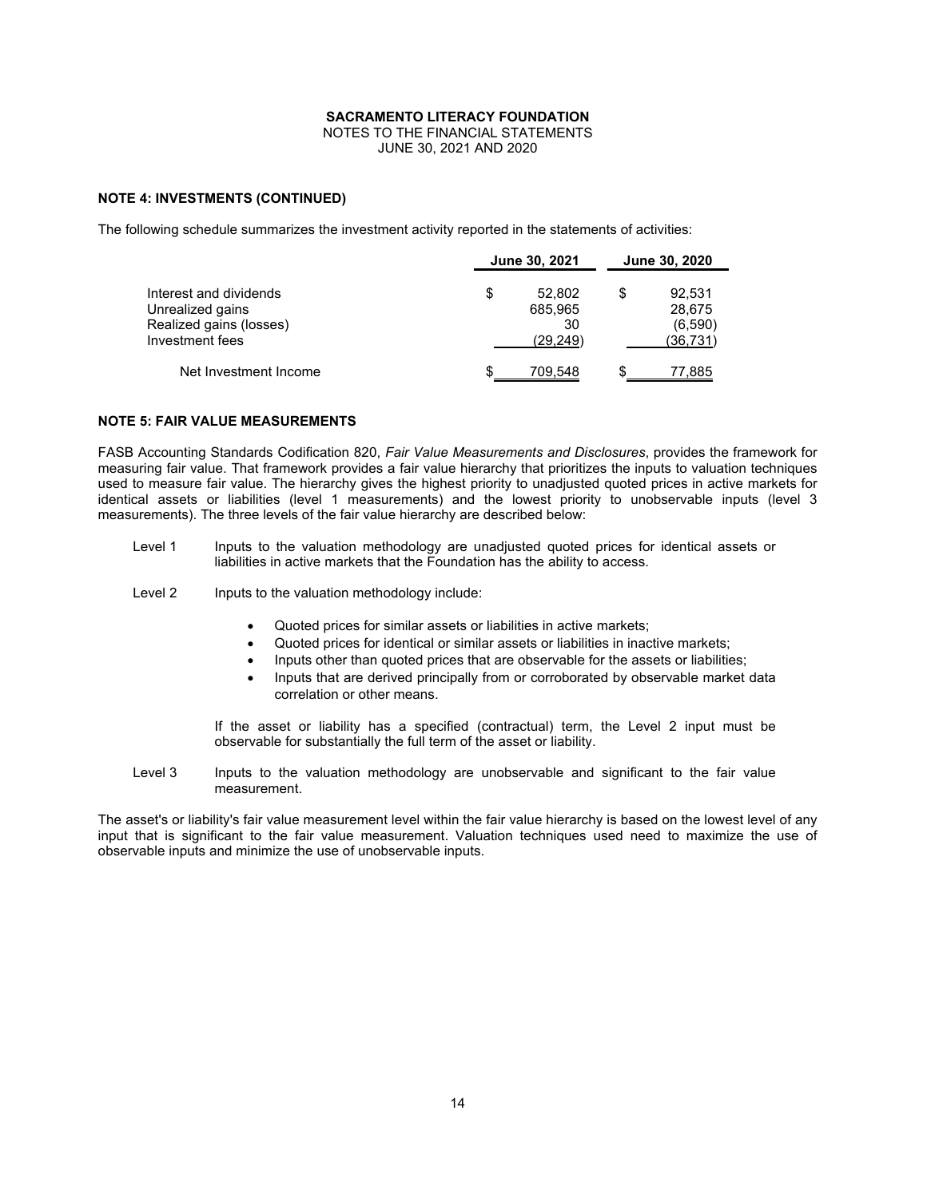NOTES TO THE FINANCIAL STATEMENTS JUNE 30, 2021 AND 2020

# **NOTE 4: INVESTMENTS (CONTINUED)**

The following schedule summarizes the investment activity reported in the statements of activities:

| Interest and dividends<br>Unrealized gains<br>Realized gains (losses) |    | June 30, 2021 | June 30, 2020 |           |  |
|-----------------------------------------------------------------------|----|---------------|---------------|-----------|--|
|                                                                       | \$ | 52.802        | S             | 92,531    |  |
|                                                                       |    | 685,965       |               | 28,675    |  |
|                                                                       |    | 30            |               | (6,590)   |  |
| Investment fees                                                       |    | (29, 249)     |               | (36, 731) |  |
| Net Investment Income                                                 | S  | 709,548       |               | 77,885    |  |

# **NOTE 5: FAIR VALUE MEASUREMENTS**

FASB Accounting Standards Codification 820, *Fair Value Measurements and Disclosures*, provides the framework for measuring fair value. That framework provides a fair value hierarchy that prioritizes the inputs to valuation techniques used to measure fair value. The hierarchy gives the highest priority to unadjusted quoted prices in active markets for identical assets or liabilities (level 1 measurements) and the lowest priority to unobservable inputs (level 3 measurements). The three levels of the fair value hierarchy are described below:

- Level 1 Inputs to the valuation methodology are unadjusted quoted prices for identical assets or liabilities in active markets that the Foundation has the ability to access.
- Level 2 Inputs to the valuation methodology include:
	- Quoted prices for similar assets or liabilities in active markets;
	- Quoted prices for identical or similar assets or liabilities in inactive markets;
	- Inputs other than quoted prices that are observable for the assets or liabilities;
	- Inputs that are derived principally from or corroborated by observable market data correlation or other means.

If the asset or liability has a specified (contractual) term, the Level 2 input must be observable for substantially the full term of the asset or liability.

Level 3 Inputs to the valuation methodology are unobservable and significant to the fair value measurement.

The asset's or liability's fair value measurement level within the fair value hierarchy is based on the lowest level of any input that is significant to the fair value measurement. Valuation techniques used need to maximize the use of observable inputs and minimize the use of unobservable inputs.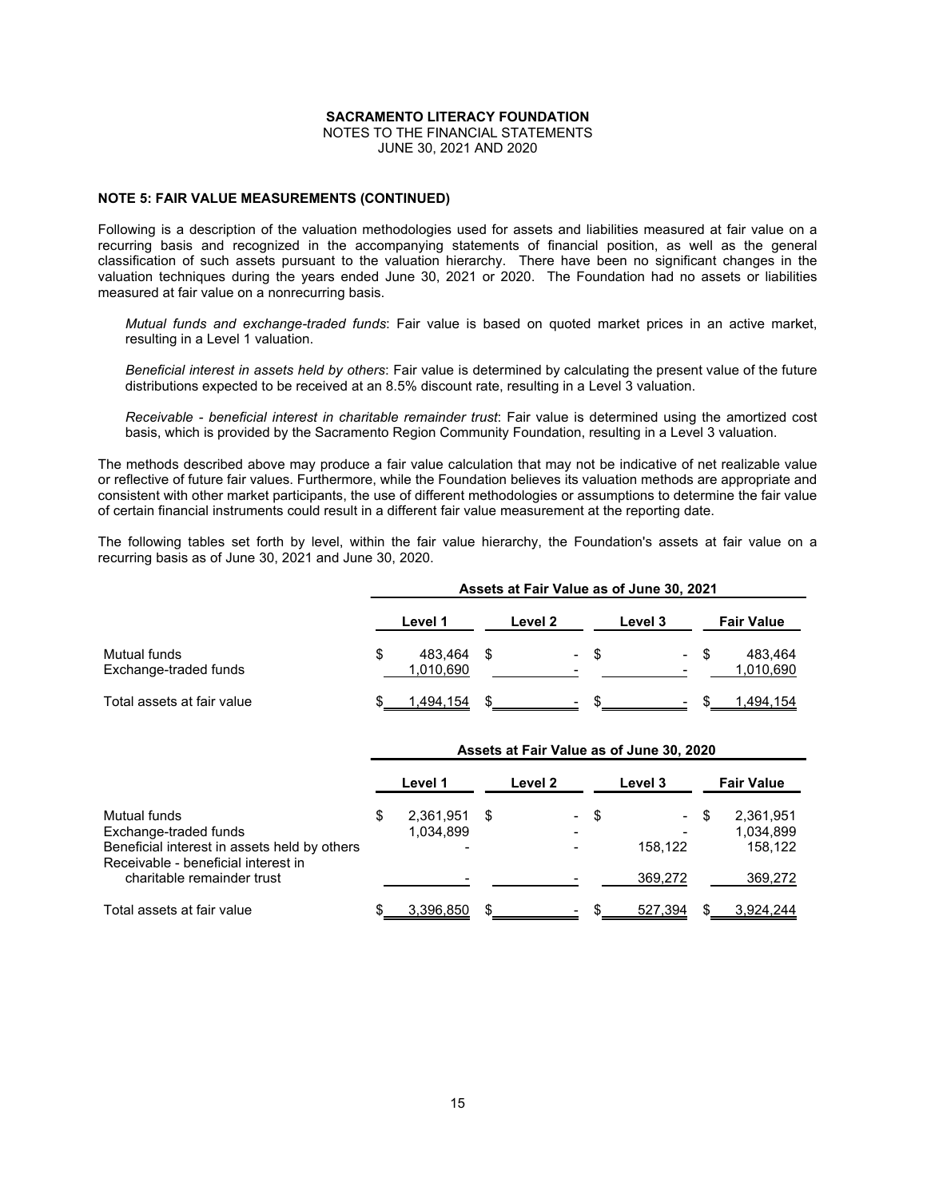NOTES TO THE FINANCIAL STATEMENTS JUNE 30, 2021 AND 2020

# **NOTE 5: FAIR VALUE MEASUREMENTS (CONTINUED)**

Following is a description of the valuation methodologies used for assets and liabilities measured at fair value on a recurring basis and recognized in the accompanying statements of financial position, as well as the general classification of such assets pursuant to the valuation hierarchy. There have been no significant changes in the valuation techniques during the years ended June 30, 2021 or 2020. The Foundation had no assets or liabilities measured at fair value on a nonrecurring basis.

*Mutual funds and exchange-traded funds*: Fair value is based on quoted market prices in an active market, resulting in a Level 1 valuation.

*Beneficial interest in assets held by others*: Fair value is determined by calculating the present value of the future distributions expected to be received at an 8.5% discount rate, resulting in a Level 3 valuation.

*Receivable - beneficial interest in charitable remainder trust*: Fair value is determined using the amortized cost basis, which is provided by the Sacramento Region Community Foundation, resulting in a Level 3 valuation.

The methods described above may produce a fair value calculation that may not be indicative of net realizable value or reflective of future fair values. Furthermore, while the Foundation believes its valuation methods are appropriate and consistent with other market participants, the use of different methodologies or assumptions to determine the fair value of certain financial instruments could result in a different fair value measurement at the reporting date.

The following tables set forth by level, within the fair value hierarchy, the Foundation's assets at fair value on a recurring basis as of June 30, 2021 and June 30, 2020.

|                                       | Assets at Fair Value as of June 30, 2021 |                      |  |                          |      |                     |      |                      |
|---------------------------------------|------------------------------------------|----------------------|--|--------------------------|------|---------------------|------|----------------------|
|                                       |                                          | Level 1              |  | Level 2                  |      | Level 3             |      | <b>Fair Value</b>    |
| Mutual funds<br>Exchange-traded funds |                                          | 483.464<br>1,010,690 |  | $\overline{\phantom{0}}$ | - \$ | $\blacksquare$<br>- | - \$ | 483,464<br>1,010,690 |
| Total assets at fair value            |                                          | 1,494,154            |  |                          |      | $\blacksquare$      |      | 1.494.154            |

|                                                                                       | ASSELS at Fail value as 01 Julie 30, 2020 |                        |   |                          |     |         |      |                                   |
|---------------------------------------------------------------------------------------|-------------------------------------------|------------------------|---|--------------------------|-----|---------|------|-----------------------------------|
|                                                                                       |                                           | Level 1                |   | Level 2                  |     | Level 3 |      | <b>Fair Value</b>                 |
| Mutual funds<br>Exchange-traded funds<br>Beneficial interest in assets held by others | \$                                        | 2,361,951<br>1,034,899 | S | $\sim$                   | -\$ | 158.122 | - \$ | 2,361,951<br>1,034,899<br>158.122 |
| Receivable - beneficial interest in<br>charitable remainder trust                     |                                           |                        |   |                          |     | 369.272 |      | 369,272                           |
| Total assets at fair value                                                            |                                           | 3,396,850              |   | $\overline{\phantom{a}}$ | S   | 527,394 |      | 3.924.244                         |

**Assets at Fair Value as of June 30, 2020**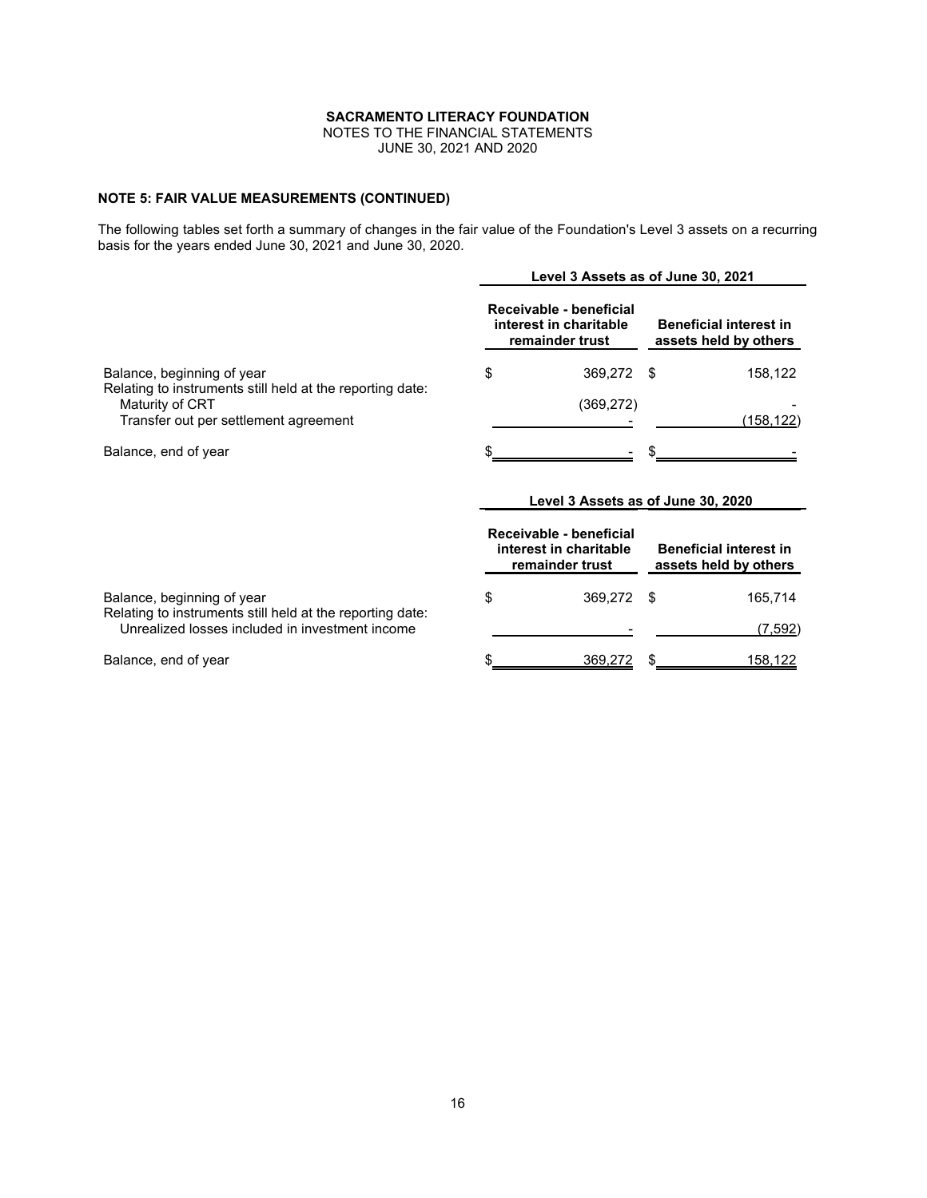NOTES TO THE FINANCIAL STATEMENTS JUNE 30, 2021 AND 2020

# **NOTE 5: FAIR VALUE MEASUREMENTS (CONTINUED)**

The following tables set forth a summary of changes in the fair value of the Foundation's Level 3 assets on a recurring basis for the years ended June 30, 2021 and June 30, 2020.

|                                                                                         | Level 3 Assets as of June 30, 2021 |                                                                      |                                                        |           |  |
|-----------------------------------------------------------------------------------------|------------------------------------|----------------------------------------------------------------------|--------------------------------------------------------|-----------|--|
| Balance, beginning of year<br>Relating to instruments still held at the reporting date: |                                    | Receivable - beneficial<br>interest in charitable<br>remainder trust | <b>Beneficial interest in</b><br>assets held by others |           |  |
|                                                                                         | \$                                 | 369.272                                                              | - \$                                                   | 158,122   |  |
| Maturity of CRT<br>Transfer out per settlement agreement                                |                                    | (369, 272)                                                           |                                                        | (158,122) |  |
| Balance, end of year                                                                    |                                    |                                                                      |                                                        |           |  |

# **Level 3 Assets as of June 30, 2020**

|                                                                                                              | Receivable - beneficial<br>interest in charitable<br>remainder trust | <b>Beneficial interest in</b><br>assets held by others |         |  |
|--------------------------------------------------------------------------------------------------------------|----------------------------------------------------------------------|--------------------------------------------------------|---------|--|
| Balance, beginning of year                                                                                   | 369.272                                                              |                                                        | 165.714 |  |
| Relating to instruments still held at the reporting date:<br>Unrealized losses included in investment income |                                                                      |                                                        | (7,592) |  |
| Balance, end of year                                                                                         | 369,272                                                              |                                                        | 158.122 |  |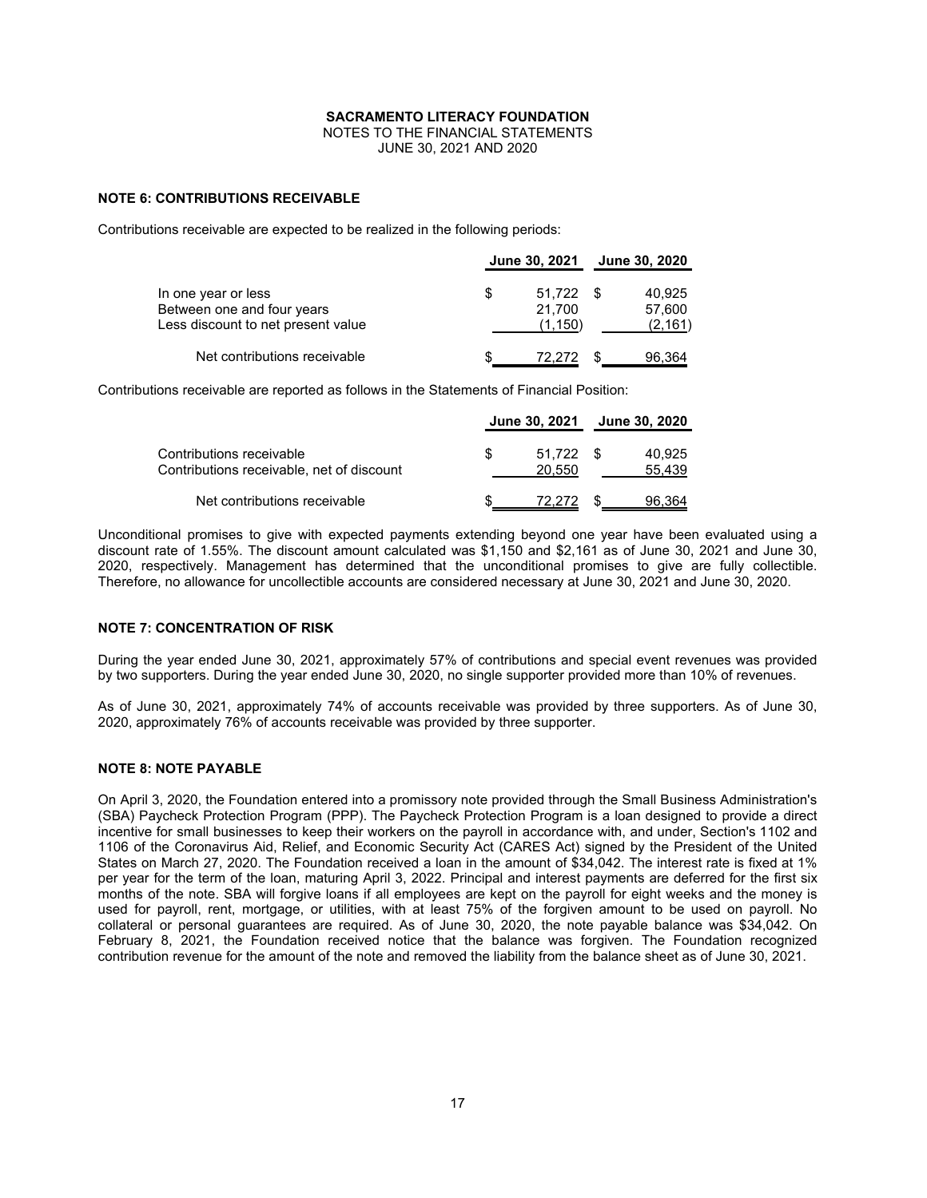NOTES TO THE FINANCIAL STATEMENTS JUNE 30, 2021 AND 2020

# **NOTE 6: CONTRIBUTIONS RECEIVABLE**

Contributions receivable are expected to be realized in the following periods:

|                                                                                         |   | June 30, 2021 June 30, 2020 |                             |
|-----------------------------------------------------------------------------------------|---|-----------------------------|-----------------------------|
| In one year or less<br>Between one and four years<br>Less discount to net present value | S | 51.722<br>21.700<br>(1.150) | 40.925<br>57.600<br>(2,161) |
| Net contributions receivable                                                            |   | 72,272                      | 96.364                      |

Contributions receivable are reported as follows in the Statements of Financial Position:

|                                                                       | June 30, 2021 June 30, 2020 |      |                  |
|-----------------------------------------------------------------------|-----------------------------|------|------------------|
| Contributions receivable<br>Contributions receivable, net of discount | $51.722$ \$<br>20.550       |      | 40.925<br>55,439 |
| Net contributions receivable                                          | 72.272                      | - \$ | 96,364           |

Unconditional promises to give with expected payments extending beyond one year have been evaluated using a discount rate of 1.55%. The discount amount calculated was \$1,150 and \$2,161 as of June 30, 2021 and June 30, 2020, respectively. Management has determined that the unconditional promises to give are fully collectible. Therefore, no allowance for uncollectible accounts are considered necessary at June 30, 2021 and June 30, 2020.

# **NOTE 7: CONCENTRATION OF RISK**

During the year ended June 30, 2021, approximately 57% of contributions and special event revenues was provided by two supporters. During the year ended June 30, 2020, no single supporter provided more than 10% of revenues.

As of June 30, 2021, approximately 74% of accounts receivable was provided by three supporters. As of June 30, 2020, approximately 76% of accounts receivable was provided by three supporter.

# **NOTE 8: NOTE PAYABLE**

On April 3, 2020, the Foundation entered into a promissory note provided through the Small Business Administration's (SBA) Paycheck Protection Program (PPP). The Paycheck Protection Program is a loan designed to provide a direct incentive for small businesses to keep their workers on the payroll in accordance with, and under, Section's 1102 and 1106 of the Coronavirus Aid, Relief, and Economic Security Act (CARES Act) signed by the President of the United States on March 27, 2020. The Foundation received a loan in the amount of \$34,042. The interest rate is fixed at 1% per year for the term of the loan, maturing April 3, 2022. Principal and interest payments are deferred for the first six months of the note. SBA will forgive loans if all employees are kept on the payroll for eight weeks and the money is used for payroll, rent, mortgage, or utilities, with at least 75% of the forgiven amount to be used on payroll. No collateral or personal guarantees are required. As of June 30, 2020, the note payable balance was \$34,042. On February 8, 2021, the Foundation received notice that the balance was forgiven. The Foundation recognized contribution revenue for the amount of the note and removed the liability from the balance sheet as of June 30, 2021.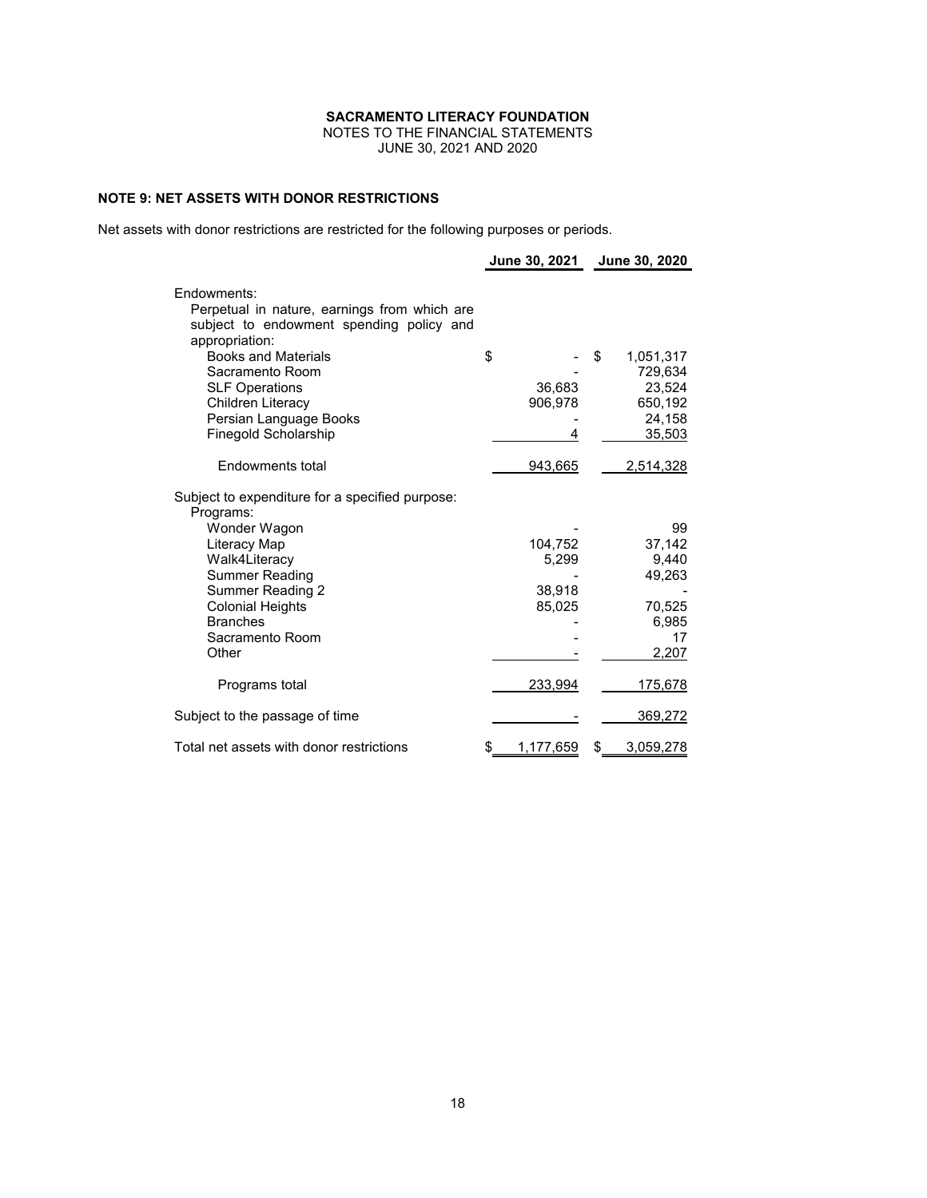NOTES TO THE FINANCIAL STATEMENTS JUNE 30, 2021 AND 2020

# **NOTE 9: NET ASSETS WITH DONOR RESTRICTIONS**

Net assets with donor restrictions are restricted for the following purposes or periods.

|                                                                                                                                               |                                      | June 30, 2021 June 30, 2020                                         |
|-----------------------------------------------------------------------------------------------------------------------------------------------|--------------------------------------|---------------------------------------------------------------------|
| Endowments:<br>Perpetual in nature, earnings from which are<br>subject to endowment spending policy and<br>appropriation:                     |                                      |                                                                     |
| <b>Books and Materials</b><br>Sacramento Room<br><b>SLF Operations</b><br>Children Literacy<br>Persian Language Books<br>Finegold Scholarship | \$<br>36,683<br>906,978<br>4         | \$<br>1,051,317<br>729,634<br>23,524<br>650,192<br>24,158<br>35,503 |
| Endowments total                                                                                                                              | 943,665                              | 2,514,328                                                           |
| Subject to expenditure for a specified purpose:<br>Programs:                                                                                  |                                      |                                                                     |
| Wonder Wagon<br>Literacy Map<br>Walk4Literacy<br>Summer Reading<br><b>Summer Reading 2</b><br><b>Colonial Heights</b><br><b>Branches</b>      | 104,752<br>5,299<br>38,918<br>85,025 | 99<br>37,142<br>9,440<br>49,263<br>70,525<br>6,985                  |
| Sacramento Room<br>Other                                                                                                                      |                                      | 17<br>2,207                                                         |
| Programs total                                                                                                                                | 233,994                              | <u>175,678</u>                                                      |
| Subject to the passage of time<br>Total net assets with donor restrictions                                                                    | 1,177,659<br>\$                      | 369,272<br>3,059,278<br>\$                                          |
|                                                                                                                                               |                                      |                                                                     |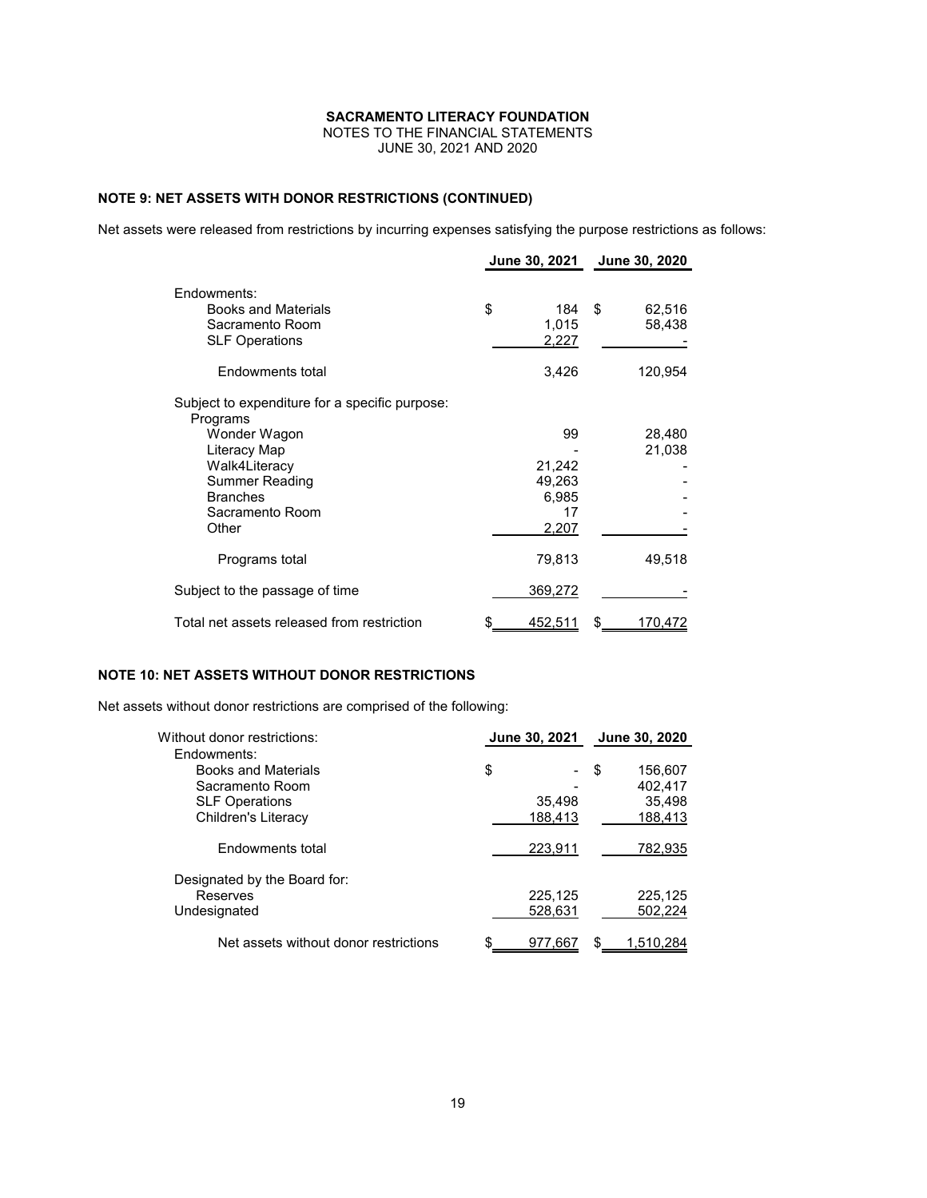NOTES TO THE FINANCIAL STATEMENTS

JUNE 30, 2021 AND 2020

# **NOTE 9: NET ASSETS WITH DONOR RESTRICTIONS (CONTINUED)**

Net assets were released from restrictions by incurring expenses satisfying the purpose restrictions as follows:

|                                                                                                                                                                              | <b>June 30, 2021</b> |                                                | June 30, 2020          |
|------------------------------------------------------------------------------------------------------------------------------------------------------------------------------|----------------------|------------------------------------------------|------------------------|
| Endowments:<br><b>Books and Materials</b><br>Sacramento Room<br><b>SLF Operations</b>                                                                                        | \$                   | 184<br>1,015<br>2,227                          | \$<br>62,516<br>58,438 |
| Endowments total                                                                                                                                                             |                      | 3,426                                          | 120,954                |
| Subject to expenditure for a specific purpose:<br>Programs<br>Wonder Wagon<br>Literacy Map<br>Walk4Literacy<br>Summer Reading<br><b>Branches</b><br>Sacramento Room<br>Other |                      | 99<br>21,242<br>49,263<br>6,985<br>17<br>2,207 | 28,480<br>21,038       |
| Programs total                                                                                                                                                               |                      | 79,813                                         | 49,518                 |
| Subject to the passage of time                                                                                                                                               |                      | 369,272                                        |                        |
| Total net assets released from restriction                                                                                                                                   |                      | 452,511                                        | \$<br>170,472          |

# **NOTE 10: NET ASSETS WITHOUT DONOR RESTRICTIONS**

Net assets without donor restrictions are comprised of the following:

| Without donor restrictions:                                                                                  | June 30, 2021 |                        |   | June 30, 2020                           |
|--------------------------------------------------------------------------------------------------------------|---------------|------------------------|---|-----------------------------------------|
| Endowments:<br><b>Books and Materials</b><br>Sacramento Room<br><b>SLF Operations</b><br>Children's Literacy | \$            | -<br>35,498<br>188,413 | S | 156,607<br>402,417<br>35,498<br>188,413 |
| Endowments total                                                                                             |               | 223,911                |   | 782,935                                 |
| Designated by the Board for:<br>Reserves<br>Undesignated                                                     |               | 225,125<br>528,631     |   | 225,125<br>502,224                      |
| Net assets without donor restrictions                                                                        | \$            | 977,667                |   | 1.510.284                               |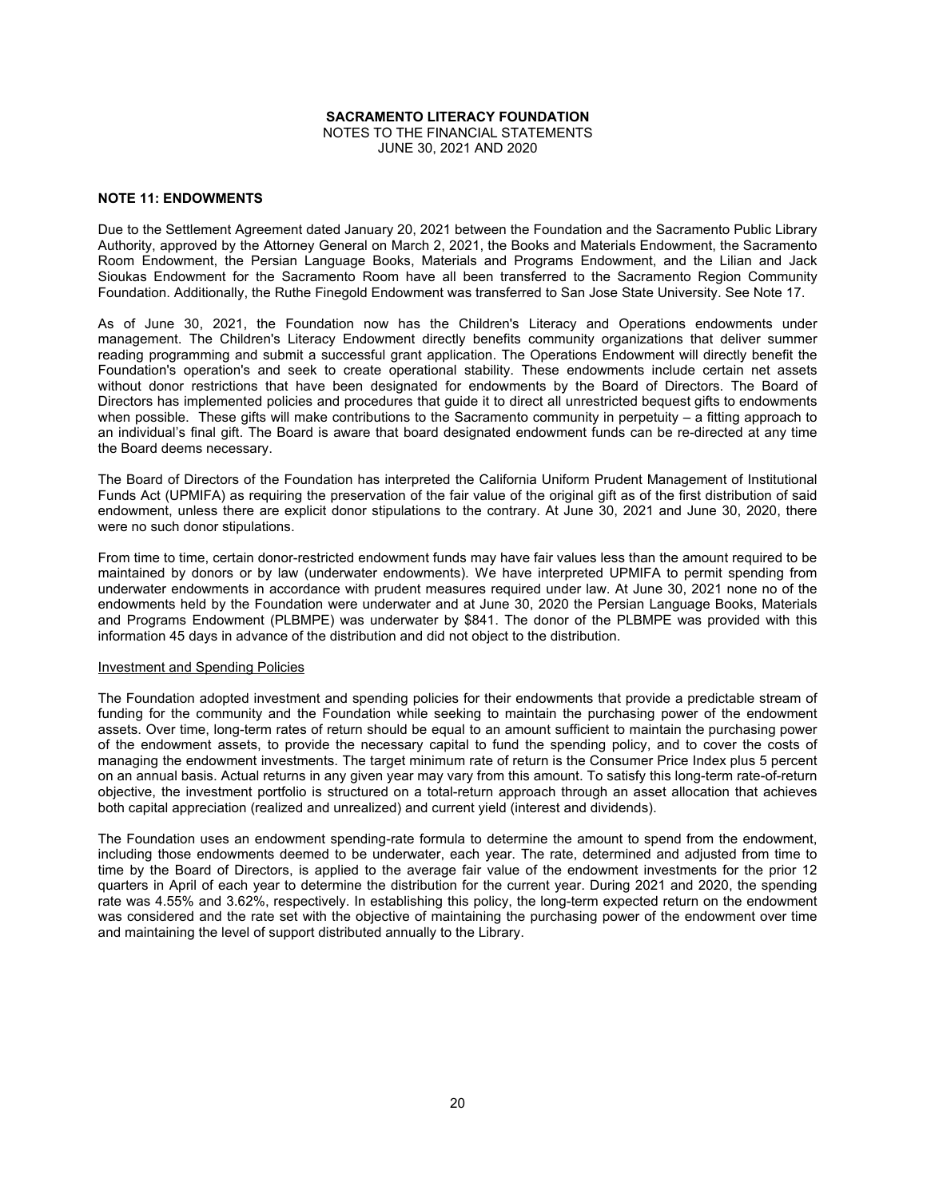NOTES TO THE FINANCIAL STATEMENTS JUNE 30, 2021 AND 2020

# **NOTE 11: ENDOWMENTS**

Due to the Settlement Agreement dated January 20, 2021 between the Foundation and the Sacramento Public Library Authority, approved by the Attorney General on March 2, 2021, the Books and Materials Endowment, the Sacramento Room Endowment, the Persian Language Books, Materials and Programs Endowment, and the Lilian and Jack Sioukas Endowment for the Sacramento Room have all been transferred to the Sacramento Region Community Foundation. Additionally, the Ruthe Finegold Endowment was transferred to San Jose State University. See Note 17.

As of June 30, 2021, the Foundation now has the Children's Literacy and Operations endowments under management. The Children's Literacy Endowment directly benefits community organizations that deliver summer reading programming and submit a successful grant application. The Operations Endowment will directly benefit the Foundation's operation's and seek to create operational stability. These endowments include certain net assets without donor restrictions that have been designated for endowments by the Board of Directors. The Board of Directors has implemented policies and procedures that guide it to direct all unrestricted bequest gifts to endowments when possible. These gifts will make contributions to the Sacramento community in perpetuity – a fitting approach to an individual's final gift. The Board is aware that board designated endowment funds can be re-directed at any time the Board deems necessary.

The Board of Directors of the Foundation has interpreted the California Uniform Prudent Management of Institutional Funds Act (UPMIFA) as requiring the preservation of the fair value of the original gift as of the first distribution of said endowment, unless there are explicit donor stipulations to the contrary. At June 30, 2021 and June 30, 2020, there were no such donor stipulations.

From time to time, certain donor-restricted endowment funds may have fair values less than the amount required to be maintained by donors or by law (underwater endowments). We have interpreted UPMIFA to permit spending from underwater endowments in accordance with prudent measures required under law. At June 30, 2021 none no of the endowments held by the Foundation were underwater and at June 30, 2020 the Persian Language Books, Materials and Programs Endowment (PLBMPE) was underwater by \$841. The donor of the PLBMPE was provided with this information 45 days in advance of the distribution and did not object to the distribution.

# Investment and Spending Policies

The Foundation adopted investment and spending policies for their endowments that provide a predictable stream of funding for the community and the Foundation while seeking to maintain the purchasing power of the endowment assets. Over time, long-term rates of return should be equal to an amount sufficient to maintain the purchasing power of the endowment assets, to provide the necessary capital to fund the spending policy, and to cover the costs of managing the endowment investments. The target minimum rate of return is the Consumer Price Index plus 5 percent on an annual basis. Actual returns in any given year may vary from this amount. To satisfy this long-term rate-of-return objective, the investment portfolio is structured on a total-return approach through an asset allocation that achieves both capital appreciation (realized and unrealized) and current yield (interest and dividends).

The Foundation uses an endowment spending-rate formula to determine the amount to spend from the endowment, including those endowments deemed to be underwater, each year. The rate, determined and adjusted from time to time by the Board of Directors, is applied to the average fair value of the endowment investments for the prior 12 quarters in April of each year to determine the distribution for the current year. During 2021 and 2020, the spending rate was 4.55% and 3.62%, respectively. In establishing this policy, the long-term expected return on the endowment was considered and the rate set with the objective of maintaining the purchasing power of the endowment over time and maintaining the level of support distributed annually to the Library.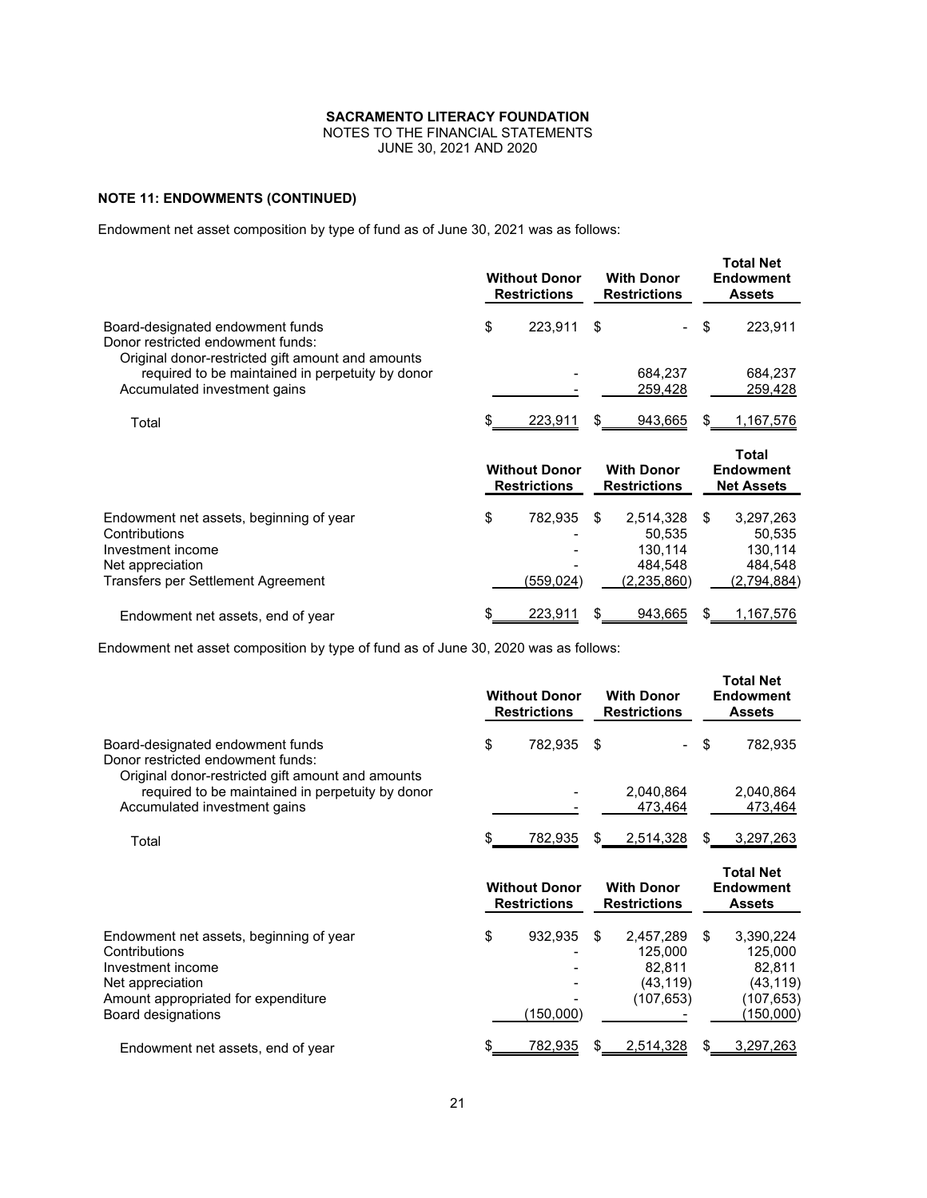NOTES TO THE FINANCIAL STATEMENTS

JUNE 30, 2021 AND 2020

# **NOTE 11: ENDOWMENTS (CONTINUED)**

Endowment net asset composition by type of fund as of June 30, 2021 was as follows:

|                                                                                                                                         | <b>Without Donor</b><br><b>Restrictions</b> |    | <b>With Donor</b><br><b>Restrictions</b>                   |    | <b>Total Net</b><br><b>Endowment</b><br><b>Assets</b>    |
|-----------------------------------------------------------------------------------------------------------------------------------------|---------------------------------------------|----|------------------------------------------------------------|----|----------------------------------------------------------|
| Board-designated endowment funds<br>Donor restricted endowment funds:                                                                   | \$<br>223,911                               | \$ |                                                            | \$ | 223,911                                                  |
| Original donor-restricted gift amount and amounts<br>required to be maintained in perpetuity by donor<br>Accumulated investment gains   |                                             |    | 684,237<br>259,428                                         |    | 684,237<br>259,428                                       |
| Total                                                                                                                                   | 223,911                                     | S  | 943,665                                                    | S  | 1,167,576                                                |
|                                                                                                                                         | <b>Without Donor</b><br><b>Restrictions</b> |    | <b>With Donor</b><br><b>Restrictions</b>                   |    | <b>Total</b><br><b>Endowment</b><br><b>Net Assets</b>    |
| Endowment net assets, beginning of year<br>Contributions<br>Investment income<br>Net appreciation<br>Transfers per Settlement Agreement | \$<br>782,935<br>(559,024)                  | \$ | 2,514,328<br>50.535<br>130,114<br>484,548<br>(2, 235, 860) | \$ | 3,297,263<br>50,535<br>130,114<br>484,548<br>(2,794,884) |
| Endowment net assets, end of year                                                                                                       | 223,911                                     |    | 943,665                                                    |    | 1,167,576                                                |

Endowment net asset composition by type of fund as of June 30, 2020 was as follows:

|                                                                                                                                                                | <b>Without Donor</b><br><b>Restrictions</b> |    | <b>With Donor</b><br><b>Restrictions</b>                  |    | Total Net<br><b>Endowment</b><br><b>Assets</b>                        |
|----------------------------------------------------------------------------------------------------------------------------------------------------------------|---------------------------------------------|----|-----------------------------------------------------------|----|-----------------------------------------------------------------------|
| Board-designated endowment funds<br>Donor restricted endowment funds:<br>Original donor-restricted gift amount and amounts                                     | \$<br>782,935                               | \$ |                                                           | \$ | 782,935                                                               |
| required to be maintained in perpetuity by donor<br>Accumulated investment gains                                                                               |                                             |    | 2,040,864<br>473,464                                      |    | 2,040,864<br>473,464                                                  |
| Total                                                                                                                                                          | 782,935                                     | S. | 2,514,328                                                 | S. | 3,297,263                                                             |
|                                                                                                                                                                | <b>Without Donor</b><br><b>Restrictions</b> |    | <b>With Donor</b><br><b>Restrictions</b>                  |    | <b>Total Net</b><br><b>Endowment</b><br><b>Assets</b>                 |
| Endowment net assets, beginning of year<br>Contributions<br>Investment income<br>Net appreciation<br>Amount appropriated for expenditure<br>Board designations | \$<br>932,935<br>(150,000)                  | \$ | 2,457,289<br>125,000<br>82,811<br>(43, 119)<br>(107, 653) | \$ | 3,390,224<br>125,000<br>82,811<br>(43, 119)<br>(107,653)<br>(150,000) |
| Endowment net assets, end of year                                                                                                                              | 782,935                                     |    |                                                           |    | 3,297,263                                                             |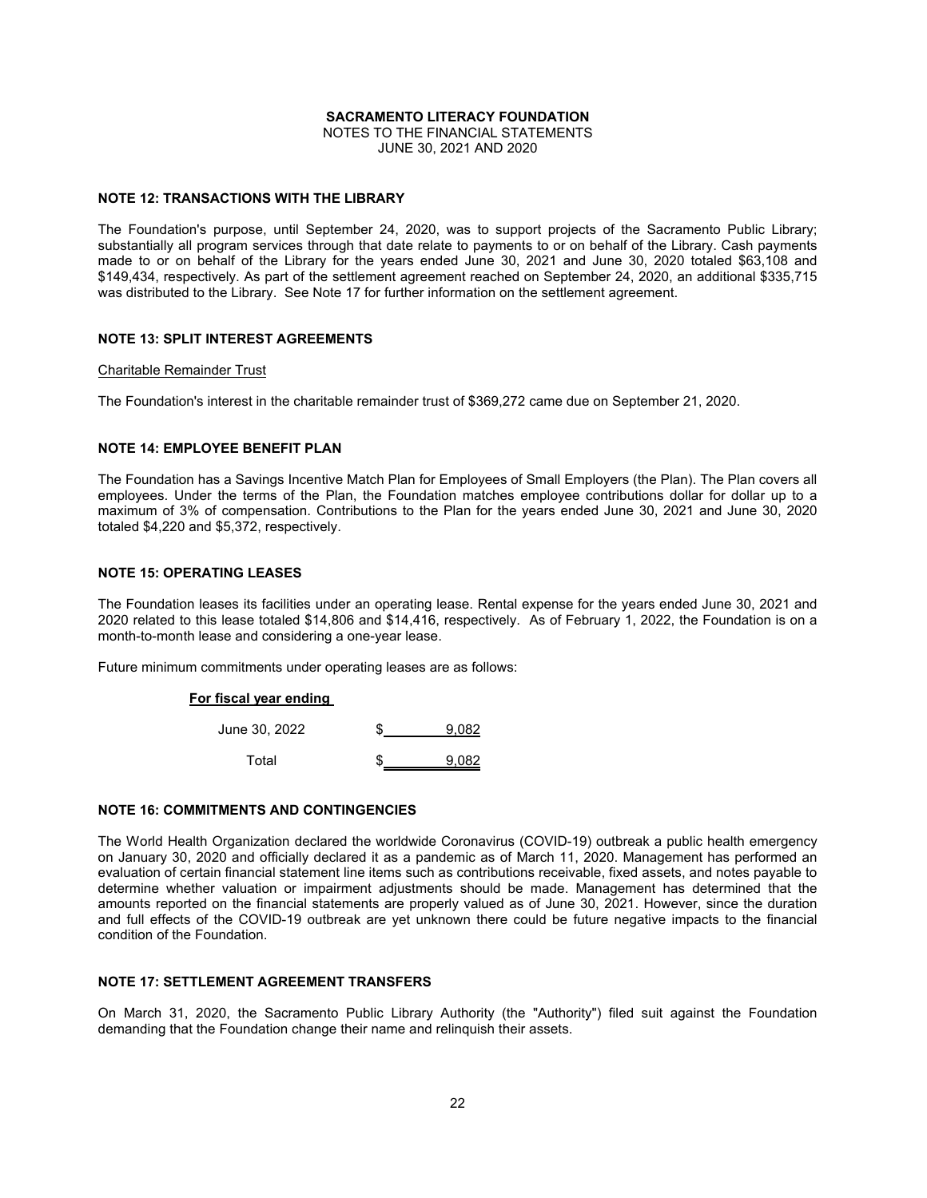NOTES TO THE FINANCIAL STATEMENTS JUNE 30, 2021 AND 2020

# **NOTE 12: TRANSACTIONS WITH THE LIBRARY**

The Foundation's purpose, until September 24, 2020, was to support projects of the Sacramento Public Library; substantially all program services through that date relate to payments to or on behalf of the Library. Cash payments made to or on behalf of the Library for the years ended June 30, 2021 and June 30, 2020 totaled \$63,108 and \$149,434, respectively. As part of the settlement agreement reached on September 24, 2020, an additional \$335,715 was distributed to the Library. See Note 17 for further information on the settlement agreement.

# **NOTE 13: SPLIT INTEREST AGREEMENTS**

#### Charitable Remainder Trust

The Foundation's interest in the charitable remainder trust of \$369,272 came due on September 21, 2020.

# **NOTE 14: EMPLOYEE BENEFIT PLAN**

The Foundation has a Savings Incentive Match Plan for Employees of Small Employers (the Plan). The Plan covers all employees. Under the terms of the Plan, the Foundation matches employee contributions dollar for dollar up to a maximum of 3% of compensation. Contributions to the Plan for the years ended June 30, 2021 and June 30, 2020 totaled \$4,220 and \$5,372, respectively.

# **NOTE 15: OPERATING LEASES**

The Foundation leases its facilities under an operating lease. Rental expense for the years ended June 30, 2021 and 2020 related to this lease totaled \$14,806 and \$14,416, respectively. As of February 1, 2022, the Foundation is on a month-to-month lease and considering a one-year lease.

Future minimum commitments under operating leases are as follows:

# **For fiscal year ending**

| June 30, 2022 | 9.082 |
|---------------|-------|
| Total         | 9.082 |

# **NOTE 16: COMMITMENTS AND CONTINGENCIES**

The World Health Organization declared the worldwide Coronavirus (COVID-19) outbreak a public health emergency on January 30, 2020 and officially declared it as a pandemic as of March 11, 2020. Management has performed an evaluation of certain financial statement line items such as contributions receivable, fixed assets, and notes payable to determine whether valuation or impairment adjustments should be made. Management has determined that the amounts reported on the financial statements are properly valued as of June 30, 2021. However, since the duration and full effects of the COVID-19 outbreak are yet unknown there could be future negative impacts to the financial condition of the Foundation.

# **NOTE 17: SETTLEMENT AGREEMENT TRANSFERS**

On March 31, 2020, the Sacramento Public Library Authority (the "Authority") filed suit against the Foundation demanding that the Foundation change their name and relinquish their assets.